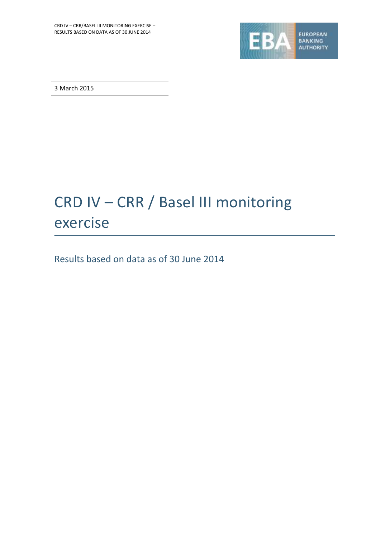

3 March 2015

# CRD IV – CRR / Basel III monitoring exercise

Results based on data as of 30 June 2014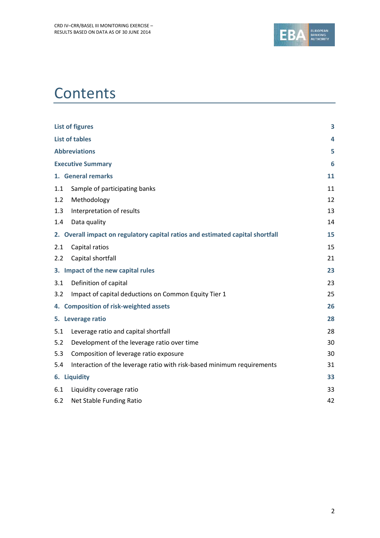

# **Contents**

| <b>List of figures</b>                                                         | 3  |
|--------------------------------------------------------------------------------|----|
| <b>List of tables</b>                                                          | 4  |
| <b>Abbreviations</b>                                                           | 5  |
| <b>Executive Summary</b>                                                       | 6  |
| 1. General remarks                                                             | 11 |
| Sample of participating banks<br>1.1                                           | 11 |
| 1.2<br>Methodology                                                             | 12 |
| 1.3<br>Interpretation of results                                               | 13 |
| Data quality<br>1.4                                                            | 14 |
| 2. Overall impact on regulatory capital ratios and estimated capital shortfall | 15 |
| Capital ratios<br>2.1                                                          | 15 |
| Capital shortfall<br>2.2                                                       | 21 |
| 3. Impact of the new capital rules                                             | 23 |
| Definition of capital<br>3.1                                                   | 23 |
| Impact of capital deductions on Common Equity Tier 1<br>3.2                    | 25 |
| 4. Composition of risk-weighted assets                                         | 26 |
| 5. Leverage ratio                                                              | 28 |
| 5.1<br>Leverage ratio and capital shortfall                                    | 28 |
| 5.2<br>Development of the leverage ratio over time                             | 30 |
| 5.3<br>Composition of leverage ratio exposure                                  | 30 |
| Interaction of the leverage ratio with risk-based minimum requirements<br>5.4  | 31 |
| 6. Liquidity                                                                   | 33 |
| 6.1<br>Liquidity coverage ratio                                                | 33 |
| 6.2<br>Net Stable Funding Ratio                                                | 42 |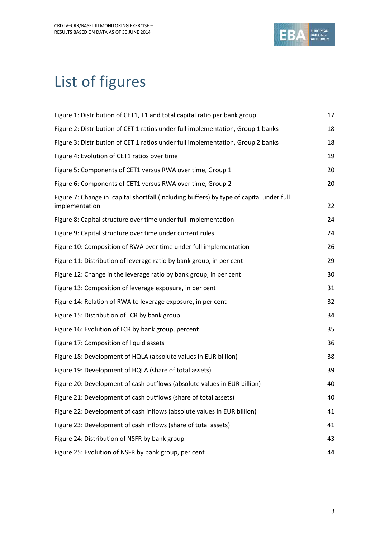

# <span id="page-2-0"></span>List of figures

| Figure 1: Distribution of CET1, T1 and total capital ratio per bank group                                 | 17 |
|-----------------------------------------------------------------------------------------------------------|----|
| Figure 2: Distribution of CET 1 ratios under full implementation, Group 1 banks                           | 18 |
| Figure 3: Distribution of CET 1 ratios under full implementation, Group 2 banks                           | 18 |
| Figure 4: Evolution of CET1 ratios over time                                                              | 19 |
| Figure 5: Components of CET1 versus RWA over time, Group 1                                                | 20 |
| Figure 6: Components of CET1 versus RWA over time, Group 2                                                | 20 |
| Figure 7: Change in capital shortfall (including buffers) by type of capital under full<br>implementation | 22 |
| Figure 8: Capital structure over time under full implementation                                           | 24 |
| Figure 9: Capital structure over time under current rules                                                 | 24 |
| Figure 10: Composition of RWA over time under full implementation                                         | 26 |
| Figure 11: Distribution of leverage ratio by bank group, in per cent                                      | 29 |
| Figure 12: Change in the leverage ratio by bank group, in per cent                                        | 30 |
| Figure 13: Composition of leverage exposure, in per cent                                                  | 31 |
| Figure 14: Relation of RWA to leverage exposure, in per cent                                              | 32 |
| Figure 15: Distribution of LCR by bank group                                                              | 34 |
| Figure 16: Evolution of LCR by bank group, percent                                                        | 35 |
| Figure 17: Composition of liquid assets                                                                   | 36 |
| Figure 18: Development of HQLA (absolute values in EUR billion)                                           | 38 |
| Figure 19: Development of HQLA (share of total assets)                                                    | 39 |
| Figure 20: Development of cash outflows (absolute values in EUR billion)                                  | 40 |
| Figure 21: Development of cash outflows (share of total assets)                                           | 40 |
| Figure 22: Development of cash inflows (absolute values in EUR billion)                                   | 41 |
| Figure 23: Development of cash inflows (share of total assets)                                            | 41 |
| Figure 24: Distribution of NSFR by bank group                                                             | 43 |
| Figure 25: Evolution of NSFR by bank group, per cent                                                      | 44 |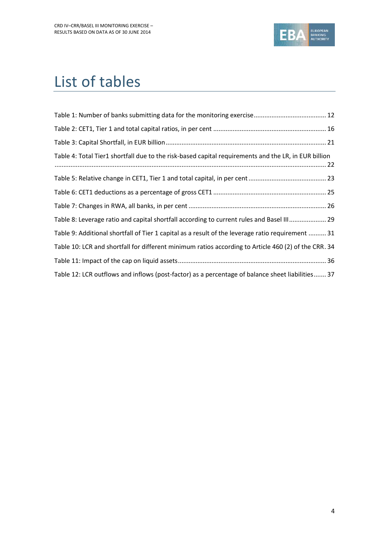![](_page_3_Picture_1.jpeg)

# <span id="page-3-0"></span>List of tables

| Table 4: Total Tier1 shortfall due to the risk-based capital requirements and the LR, in EUR billion |  |
|------------------------------------------------------------------------------------------------------|--|
|                                                                                                      |  |
|                                                                                                      |  |
|                                                                                                      |  |
| Table 8: Leverage ratio and capital shortfall according to current rules and Basel III 29            |  |
| Table 9: Additional shortfall of Tier 1 capital as a result of the leverage ratio requirement  31    |  |
| Table 10: LCR and shortfall for different minimum ratios according to Article 460 (2) of the CRR. 34 |  |
|                                                                                                      |  |
| Table 12: LCR outflows and inflows (post-factor) as a percentage of balance sheet liabilities 37     |  |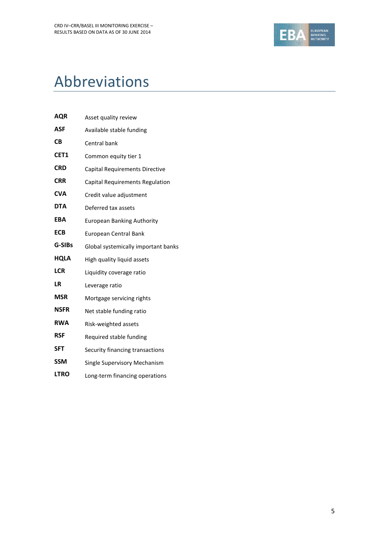![](_page_4_Picture_1.jpeg)

# <span id="page-4-0"></span>Abbreviations

| <b>AQR</b>  | Asset quality review                |
|-------------|-------------------------------------|
| ASF         | Available stable funding            |
| <b>CB</b>   | Central bank                        |
| CET1        | Common equity tier 1                |
| <b>CRD</b>  | Capital Requirements Directive      |
| <b>CRR</b>  | Capital Requirements Regulation     |
| <b>CVA</b>  | Credit value adjustment             |
| <b>DTA</b>  | Deferred tax assets                 |
| <b>EBA</b>  | <b>European Banking Authority</b>   |
| <b>ECB</b>  | European Central Bank               |
| G-SIBs      | Global systemically important banks |
| <b>HQLA</b> | High quality liquid assets          |
| <b>LCR</b>  | Liquidity coverage ratio            |
| <b>LR</b>   | Leverage ratio                      |
| <b>MSR</b>  | Mortgage servicing rights           |
| <b>NSFR</b> | Net stable funding ratio            |
| <b>RWA</b>  | Risk-weighted assets                |
| <b>RSF</b>  | Required stable funding             |
| <b>SFT</b>  | Security financing transactions     |
| <b>SSM</b>  | Single Supervisory Mechanism        |
| <b>LTRO</b> | Long-term financing operations      |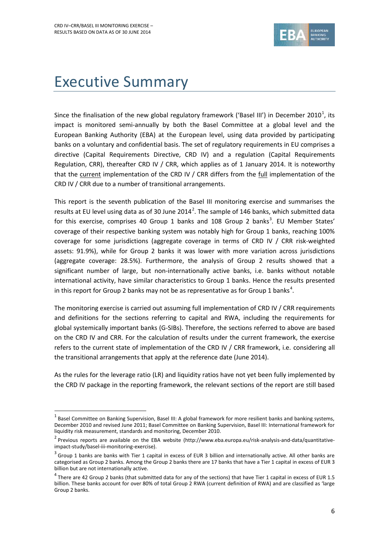1

![](_page_5_Picture_1.jpeg)

# <span id="page-5-0"></span>Executive Summary

Since the finalisation of the new global regulatory framework ('Basel III') in December 2010<sup>1</sup>, its impact is monitored semi-annually by both the Basel Committee at a global level and the European Banking Authority (EBA) at the European level, using data provided by participating banks on a voluntary and confidential basis. The set of regulatory requirements in EU comprises a directive (Capital Requirements Directive, CRD IV) and a regulation (Capital Requirements Regulation, CRR), thereafter CRD IV / CRR, which applies as of 1 January 2014. It is noteworthy that the current implementation of the CRD IV / CRR differs from the full implementation of the CRD IV / CRR due to a number of transitional arrangements.

This report is the seventh publication of the Basel III monitoring exercise and summarises the results at EU level using data as of 30 June 2014<sup>2</sup>. The sample of 146 banks, which submitted data for this exercise, comprises 40 Group 1 banks and 108 Group 2 banks<sup>3</sup>. EU Member States' coverage of their respective banking system was notably high for Group 1 banks, reaching 100% coverage for some jurisdictions (aggregate coverage in terms of CRD IV / CRR risk-weighted assets: 91.9%), while for Group 2 banks it was lower with more variation across jurisdictions (aggregate coverage: 28.5%). Furthermore, the analysis of Group 2 results showed that a significant number of large, but non-internationally active banks, i.e. banks without notable international activity, have similar characteristics to Group 1 banks. Hence the results presented in this report for Group 2 banks may not be as representative as for Group 1 banks<sup>4</sup>.

The monitoring exercise is carried out assuming full implementation of CRD IV / CRR requirements and definitions for the sections referring to capital and RWA, including the requirements for global systemically important banks (G-SIBs). Therefore, the sections referred to above are based on the CRD IV and CRR. For the calculation of results under the current framework, the exercise refers to the current state of implementation of the CRD IV / CRR framework, i.e. considering all the transitional arrangements that apply at the reference date (June 2014).

As the rules for the leverage ratio (LR) and liquidity ratios have not yet been fully implemented by the CRD IV package in the reporting framework, the relevant sections of the report are still based

 $^1$  Basel Committee on Banking Supervision, Basel III: A global framework for more resilient banks and banking systems, December 2010 and revised June 2011; Basel Committee on Banking Supervision, Basel III: International framework for liquidity risk measurement, standards and monitoring, December 2010.

<sup>&</sup>lt;sup>2</sup> Previous reports are available on the EBA website (http://www.eba.europa.eu/risk-analysis-and-data/quantitativeimpact-study/basel-iii-monitoring-exercise).

 $3$  Group 1 banks are banks with Tier 1 capital in excess of EUR 3 billion and internationally active. All other banks are categorised as Group 2 banks. Among the Group 2 banks there are 17 banks that have a Tier 1 capital in excess of EUR 3 billion but are not internationally active.

 $^4$  There are 42 Group 2 banks (that submitted data for any of the sections) that have Tier 1 capital in excess of EUR 1.5 billion. These banks account for over 80% of total Group 2 RWA (current definition of RWA) and are classified as 'large Group 2 banks.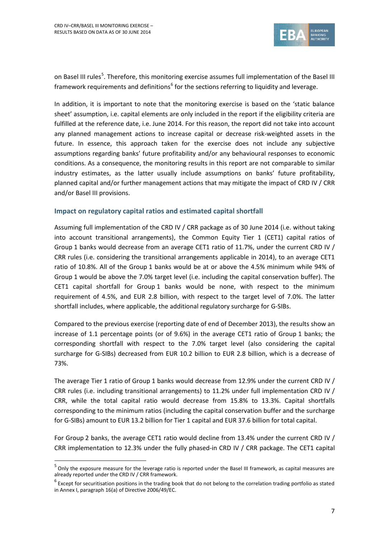1

![](_page_6_Picture_1.jpeg)

on Basel III rules<sup>5</sup>. Therefore, this monitoring exercise assumes full implementation of the Basel III framework requirements and definitions<sup>6</sup> for the sections referring to liquidity and leverage.

In addition, it is important to note that the monitoring exercise is based on the 'static balance sheet' assumption, i.e. capital elements are only included in the report if the eligibility criteria are fulfilled at the reference date, i.e. June 2014. For this reason, the report did not take into account any planned management actions to increase capital or decrease risk-weighted assets in the future. In essence, this approach taken for the exercise does not include any subjective assumptions regarding banks' future profitability and/or any behavioural responses to economic conditions. As a consequence, the monitoring results in this report are not comparable to similar industry estimates, as the latter usually include assumptions on banks' future profitability, planned capital and/or further management actions that may mitigate the impact of CRD IV / CRR and/or Basel III provisions.

### **Impact on regulatory capital ratios and estimated capital shortfall**

Assuming full implementation of the CRD IV / CRR package as of 30 June 2014 (i.e. without taking into account transitional arrangements), the Common Equity Tier 1 (CET1) capital ratios of Group 1 banks would decrease from an average CET1 ratio of 11.7%, under the current CRD IV / CRR rules (i.e. considering the transitional arrangements applicable in 2014), to an average CET1 ratio of 10.8%. All of the Group 1 banks would be at or above the 4.5% minimum while 94% of Group 1 would be above the 7.0% target level (i.e. including the capital conservation buffer). The CET1 capital shortfall for Group 1 banks would be none, with respect to the minimum requirement of 4.5%, and EUR 2.8 billion, with respect to the target level of 7.0%. The latter shortfall includes, where applicable, the additional regulatory surcharge for G-SIBs.

Compared to the previous exercise (reporting date of end of December 2013), the results show an increase of 1.1 percentage points (or of 9.6%) in the average CET1 ratio of Group 1 banks; the corresponding shortfall with respect to the 7.0% target level (also considering the capital surcharge for G-SIBs) decreased from EUR 10.2 billion to EUR 2.8 billion, which is a decrease of 73%.

The average Tier 1 ratio of Group 1 banks would decrease from 12.9% under the current CRD IV / CRR rules (i.e. including transitional arrangements) to 11.2% under full implementation CRD IV / CRR, while the total capital ratio would decrease from 15.8% to 13.3%. Capital shortfalls corresponding to the minimum ratios (including the capital conservation buffer and the surcharge for G-SIBs) amount to EUR 13.2 billion for Tier 1 capital and EUR 37.6 billion for total capital.

For Group 2 banks, the average CET1 ratio would decline from 13.4% under the current CRD IV / CRR implementation to 12.3% under the fully phased-in CRD IV / CRR package. The CET1 capital

<sup>&</sup>lt;sup>5</sup> Only the exposure measure for the leverage ratio is reported under the Basel III framework, as capital measures are already reported under the CRD IV / CRR framework.

 $^6$  Except for securitisation positions in the trading book that do not belong to the correlation trading portfolio as stated in Annex I, paragraph 16(a) of Directive 2006/49/EC.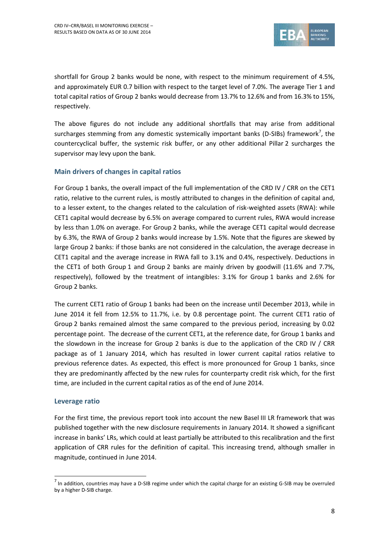![](_page_7_Picture_1.jpeg)

shortfall for Group 2 banks would be none, with respect to the minimum requirement of 4.5%, and approximately EUR 0.7 billion with respect to the target level of 7.0%. The average Tier 1 and total capital ratios of Group 2 banks would decrease from 13.7% to 12.6% and from 16.3% to 15%, respectively.

The above figures do not include any additional shortfalls that may arise from additional surcharges stemming from any domestic systemically important banks (D-SIBs) framework<sup>7</sup>, the countercyclical buffer, the systemic risk buffer, or any other additional Pillar 2 surcharges the supervisor may levy upon the bank.

### **Main drivers of changes in capital ratios**

For Group 1 banks, the overall impact of the full implementation of the CRD IV / CRR on the CET1 ratio, relative to the current rules, is mostly attributed to changes in the definition of capital and, to a lesser extent, to the changes related to the calculation of risk-weighted assets (RWA): while CET1 capital would decrease by 6.5% on average compared to current rules, RWA would increase by less than 1.0% on average. For Group 2 banks, while the average CET1 capital would decrease by 6.3%, the RWA of Group 2 banks would increase by 1.5%. Note that the figures are skewed by large Group 2 banks: if those banks are not considered in the calculation, the average decrease in CET1 capital and the average increase in RWA fall to 3.1% and 0.4%, respectively. Deductions in the CET1 of both Group 1 and Group 2 banks are mainly driven by goodwill (11.6% and 7.7%, respectively), followed by the treatment of intangibles: 3.1% for Group 1 banks and 2.6% for Group 2 banks.

The current CET1 ratio of Group 1 banks had been on the increase until December 2013, while in June 2014 it fell from 12.5% to 11.7%, i.e. by 0.8 percentage point. The current CET1 ratio of Group 2 banks remained almost the same compared to the previous period, increasing by 0.02 percentage point. The decrease of the current CET1, at the reference date, for Group 1 banks and the slowdown in the increase for Group 2 banks is due to the application of the CRD IV / CRR package as of 1 January 2014, which has resulted in lower current capital ratios relative to previous reference dates. As expected, this effect is more pronounced for Group 1 banks, since they are predominantly affected by the new rules for counterparty credit risk which, for the first time, are included in the current capital ratios as of the end of June 2014.

### **Leverage ratio**

1

For the first time, the previous report took into account the new Basel III LR framework that was published together with the new disclosure requirements in January 2014. It showed a significant increase in banks' LRs, which could at least partially be attributed to this recalibration and the first application of CRR rules for the definition of capital. This increasing trend, although smaller in magnitude, continued in June 2014.

 $<sup>7</sup>$  In addition, countries may have a D-SIB regime under which the capital charge for an existing G-SIB may be overruled</sup> by a higher D-SIB charge.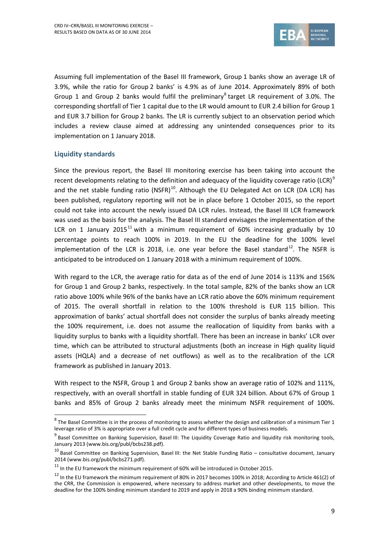<span id="page-8-0"></span>![](_page_8_Picture_1.jpeg)

Assuming full implementation of the Basel III framework, Group 1 banks show an average LR of 3.9%, while the ratio for Group 2 banks' is 4.9% as of June 2014. Approximately 89% of both Group 1 and Group 2 banks would fulfil the preliminary<sup>8</sup> target LR requirement of 3.0%. The corresponding shortfall of Tier 1 capital due to the LR would amount to EUR 2.4 billion for Group 1 and EUR 3.7 billion for Group 2 banks. The LR is currently subject to an observation period which includes a review clause aimed at addressing any unintended consequences prior to its implementation on 1 January 2018.

### **Liquidity standards**

1

Since the previous report, the Basel III monitoring exercise has been taking into account the recent developments relating to the definition and adequacy of the liquidity coverage ratio (LCR)<sup>9</sup> and the net stable funding ratio (NSFR)<sup>10</sup>. Although the EU Delegated Act on LCR (DA LCR) has been published, regulatory reporting will not be in place before 1 October 2015, so the report could not take into account the newly issued DA LCR rules. Instead, the Basel III LCR framework was used as the basis for the analysis. The Basel III standard envisages the implementation of the LCR on 1 January 2015<sup>11</sup> with a minimum requirement of 60% increasing gradually by 10 percentage points to reach 100% in 2019. In the EU the deadline for the 100% level implementation of the LCR is 2018, i.e. one year before the Basel standard<sup>12</sup>. The NSFR is anticipated to be introduced on 1 January 2018 with a minimum requirement of 100%.

With regard to the LCR, the average ratio for data as of the end of June 2014 is 113% and 156% for Group 1 and Group 2 banks, respectively. In the total sample, 82% of the banks show an LCR ratio above 100% while 96% of the banks have an LCR ratio above the 60% minimum requirement of 2015. The overall shortfall in relation to the 100% threshold is EUR 115 billion. This approximation of banks' actual shortfall does not consider the surplus of banks already meeting the 100% requirement, i.e. does not assume the reallocation of liquidity from banks with a liquidity surplus to banks with a liquidity shortfall. There has been an increase in banks' LCR over time, which can be attributed to structural adjustments (both an increase in High quality liquid assets (HQLA) and a decrease of net outflows) as well as to the recalibration of the LCR framework as published in January 2013.

With respect to the NSFR, Group 1 and Group 2 banks show an average ratio of 102% and 111%, respectively, with an overall shortfall in stable funding of EUR 324 billion. About 67% of Group 1 banks and 85% of Group 2 banks already meet the minimum NSFR requirement of 100%.

 $^8$  The Basel Committee is in the process of monitoring to assess whether the design and calibration of a minimum Tier 1 leverage ratio of 3% is appropriate over a full credit cycle and for different types of business models.

<sup>&</sup>lt;sup>9</sup> Basel Committee on Banking Supervision, Basel III: The Liquidity Coverage Ratio and liquidity risk monitoring tools, January 2013 (www.bis.org/publ/bcbs238.pdf).

 $10$  Basel Committee on Banking Supervision, Basel III: the Net Stable Funding Ratio – consultative document, January 2014 (www.bis.org/publ/bcbs271.pdf).

 $11$  In the EU framework the minimum requirement of 60% will be introduced in October 2015.

<span id="page-8-1"></span><sup>&</sup>lt;sup>12</sup> In the EU framework the minimum requirement of 80% in 2017 becomes 100% in 2018; According to Article 461(2) of the CRR, the Commission is empowered, where necessary to address market and other developments, to move the deadline for the 100% binding minimum standard to 2019 and apply in 2018 a 90% binding minimum standard.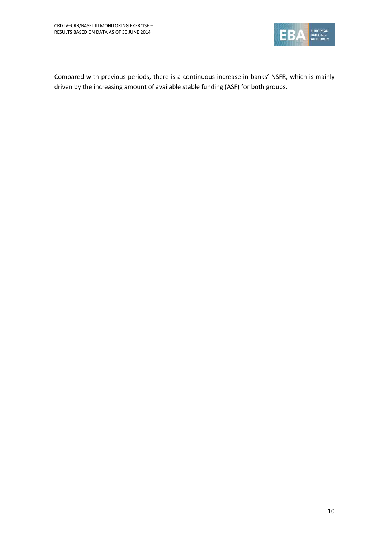![](_page_9_Picture_1.jpeg)

Compared with previous periods, there is a continuous increase in banks' NSFR, which is mainly driven by the increasing amount of available stable funding (ASF) for both groups.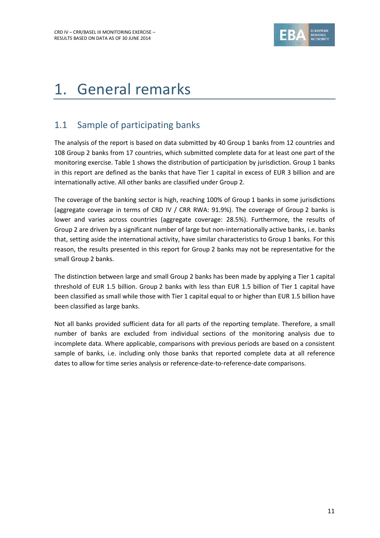![](_page_10_Picture_1.jpeg)

# <span id="page-10-0"></span>1. General remarks

## <span id="page-10-1"></span>1.1 Sample of participating banks

The analysis of the report is based on data submitted by 40 Group 1 banks from 12 countries and 108 Group 2 banks from 17 countries, which submitted complete data for at least one part of the monitoring exercise. [Table 1](#page-11-1) shows the distribution of participation by jurisdiction. Group 1 banks in this report are defined as the banks that have Tier 1 capital in excess of EUR 3 billion and are internationally active. All other banks are classified under Group 2.

The coverage of the banking sector is high, reaching 100% of Group 1 banks in some jurisdictions (aggregate coverage in terms of CRD IV / CRR RWA: 91.9%). The coverage of Group 2 banks is lower and varies across countries (aggregate coverage: 28.5%). Furthermore, the results of Group 2 are driven by a significant number of large but non-internationally active banks, i.e. banks that, setting aside the international activity, have similar characteristics to Group 1 banks. For this reason, the results presented in this report for Group 2 banks may not be representative for the small Group 2 banks.

The distinction between large and small Group 2 banks has been made by applying a Tier 1 capital threshold of EUR 1.5 billion. Group 2 banks with less than EUR 1.5 billion of Tier 1 capital have been classified as small while those with Tier 1 capital equal to or higher than EUR 1.5 billion have been classified as large banks.

Not all banks provided sufficient data for all parts of the reporting template. Therefore, a small number of banks are excluded from individual sections of the monitoring analysis due to incomplete data. Where applicable, comparisons with previous periods are based on a consistent sample of banks, i.e. including only those banks that reported complete data at all reference dates to allow for time series analysis or reference-date-to-reference-date comparisons.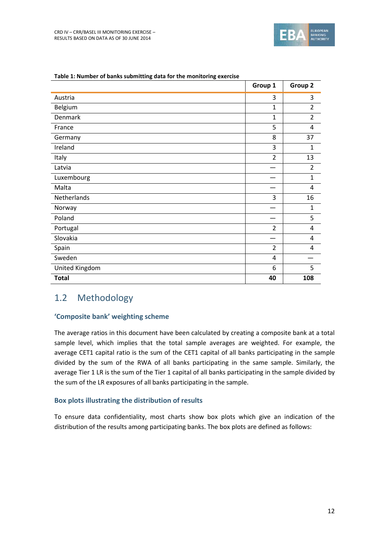![](_page_11_Picture_0.jpeg)

|                | Group 1        | Group 2        |
|----------------|----------------|----------------|
| Austria        | 3              | 3              |
| Belgium        | $\mathbf{1}$   | $\overline{2}$ |
| Denmark        | $\mathbf{1}$   | 2              |
| France         | 5              | 4              |
| Germany        | 8              | 37             |
| Ireland        | 3              | $\mathbf{1}$   |
| Italy          | $\overline{2}$ | 13             |
| Latvia         |                | $\overline{2}$ |
| Luxembourg     |                | $\mathbf{1}$   |
| Malta          |                | 4              |
| Netherlands    | 3              | 16             |
| Norway         |                | $\mathbf{1}$   |
| Poland         |                | 5              |
| Portugal       | $\overline{2}$ | 4              |
| Slovakia       |                | 4              |
| Spain          | $\overline{2}$ | 4              |
| Sweden         | 4              |                |
| United Kingdom | 6              | 5              |
| <b>Total</b>   | 40             | 108            |

#### <span id="page-11-1"></span>**Table 1: Number of banks submitting data for the monitoring exercise**

### <span id="page-11-0"></span>1.2 Methodology

#### **'Composite bank' weighting scheme**

The average ratios in this document have been calculated by creating a composite bank at a total sample level, which implies that the total sample averages are weighted. For example, the average CET1 capital ratio is the sum of the CET1 capital of all banks participating in the sample divided by the sum of the RWA of all banks participating in the same sample. Similarly, the average Tier 1 LR is the sum of the Tier 1 capital of all banks participating in the sample divided by the sum of the LR exposures of all banks participating in the sample.

### **Box plots illustrating the distribution of results**

To ensure data confidentiality, most charts show box plots which give an indication of the distribution of the results among participating banks. The box plots are defined as follows: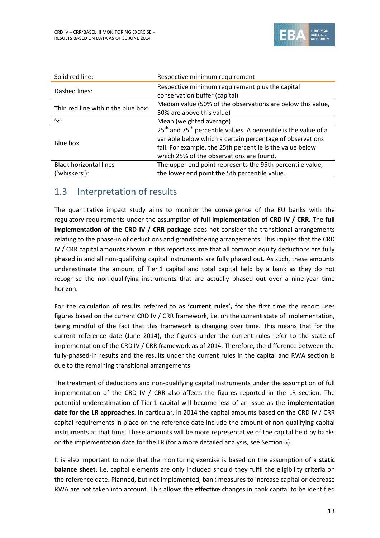![](_page_12_Picture_1.jpeg)

| Solid red line:                    | Respective minimum requirement                                                          |
|------------------------------------|-----------------------------------------------------------------------------------------|
| Dashed lines:                      | Respective minimum requirement plus the capital<br>conservation buffer (capital)        |
| Thin red line within the blue box: | Median value (50% of the observations are below this value,                             |
|                                    | 50% are above this value)                                                               |
| $'x'$ :                            | Mean (weighted average)                                                                 |
|                                    | 25 <sup>th</sup> and 75 <sup>th</sup> percentile values. A percentile is the value of a |
| Blue box:                          | variable below which a certain percentage of observations                               |
|                                    | fall. For example, the 25th percentile is the value below                               |
|                                    | which 25% of the observations are found.                                                |
| <b>Black horizontal lines</b>      | The upper end point represents the 95th percentile value,                               |
| ('whiskers'):                      | the lower end point the 5th percentile value.                                           |

## <span id="page-12-0"></span>1.3 Interpretation of results

The quantitative impact study aims to monitor the convergence of the EU banks with the regulatory requirements under the assumption of **full implementation of CRD IV / CRR**. The **full implementation of the CRD IV / CRR package** does not consider the transitional arrangements relating to the phase-in of deductions and grandfathering arrangements. This implies that the CRD IV / CRR capital amounts shown in this report assume that all common equity deductions are fully phased in and all non-qualifying capital instruments are fully phased out. As such, these amounts underestimate the amount of Tier 1 capital and total capital held by a bank as they do not recognise the non-qualifying instruments that are actually phased out over a nine-year time horizon.

For the calculation of results referred to as **'current rules',** for the first time the report uses figures based on the current CRD IV / CRR framework, i.e. on the current state of implementation, being mindful of the fact that this framework is changing over time. This means that for the current reference date (June 2014), the figures under the current rules refer to the state of implementation of the CRD IV / CRR framework as of 2014. Therefore, the difference between the fully-phased-in results and the results under the current rules in the capital and RWA section is due to the remaining transitional arrangements.

The treatment of deductions and non-qualifying capital instruments under the assumption of full implementation of the CRD IV / CRR also affects the figures reported in the LR section. The potential underestimation of Tier 1 capital will become less of an issue as the **implementation date for the LR approaches**. In particular, in 2014 the capital amounts based on the CRD IV / CRR capital requirements in place on the reference date include the amount of non-qualifying capital instruments at that time. These amounts will be more representative of the capital held by banks on the implementation date for the LR (for a more detailed analysis, see Section [5\)](#page-27-0).

It is also important to note that the monitoring exercise is based on the assumption of a **static balance sheet**, i.e. capital elements are only included should they fulfil the eligibility criteria on the reference date. Planned, but not implemented, bank measures to increase capital or decrease RWA are not taken into account. This allows the **effective** changes in bank capital to be identified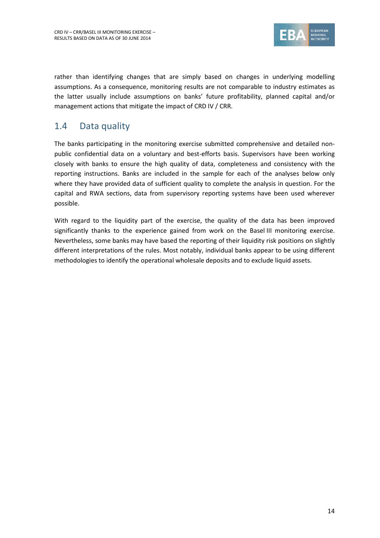![](_page_13_Picture_1.jpeg)

rather than identifying changes that are simply based on changes in underlying modelling assumptions. As a consequence, monitoring results are not comparable to industry estimates as the latter usually include assumptions on banks' future profitability, planned capital and/or management actions that mitigate the impact of CRD IV / CRR.

## <span id="page-13-0"></span>1.4 Data quality

The banks participating in the monitoring exercise submitted comprehensive and detailed nonpublic confidential data on a voluntary and best-efforts basis. Supervisors have been working closely with banks to ensure the high quality of data, completeness and consistency with the reporting instructions. Banks are included in the sample for each of the analyses below only where they have provided data of sufficient quality to complete the analysis in question. For the capital and RWA sections, data from supervisory reporting systems have been used wherever possible.

With regard to the liquidity part of the exercise, the quality of the data has been improved significantly thanks to the experience gained from work on the Basel III monitoring exercise. Nevertheless, some banks may have based the reporting of their liquidity risk positions on slightly different interpretations of the rules. Most notably, individual banks appear to be using different methodologies to identify the operational wholesale deposits and to exclude liquid assets.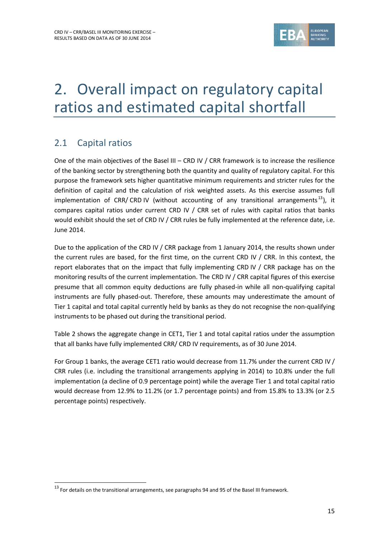![](_page_14_Picture_1.jpeg)

# <span id="page-14-0"></span>2. Overall impact on regulatory capital ratios and estimated capital shortfall

## <span id="page-14-1"></span>2.1 Capital ratios

1

One of the main objectives of the Basel III – CRD IV / CRR framework is to increase the resilience of the banking sector by strengthening both the quantity and quality of regulatory capital. For this purpose the framework sets higher quantitative minimum requirements and stricter rules for the definition of capital and the calculation of risk weighted assets. As this exercise assumes full implementation of CRR/ CRD IV (without accounting of any transitional arrangements<sup>13</sup>), it compares capital ratios under current CRD IV / CRR set of rules with capital ratios that banks would exhibit should the set of CRD IV / CRR rules be fully implemented at the reference date, i.e. June 2014.

Due to the application of the CRD IV / CRR package from 1 January 2014, the results shown under the current rules are based, for the first time, on the current CRD IV / CRR. In this context, the report elaborates that on the impact that fully implementing CRD IV / CRR package has on the monitoring results of the current implementation. The CRD IV / CRR capital figures of this exercise presume that all common equity deductions are fully phased-in while all non-qualifying capital instruments are fully phased-out. Therefore, these amounts may underestimate the amount of Tier 1 capital and total capital currently held by banks as they do not recognise the non-qualifying instruments to be phased out during the transitional period.

[Table 2](#page-15-0) shows the aggregate change in CET1, Tier 1 and total capital ratios under the assumption that all banks have fully implemented CRR/ CRD IV requirements, as of 30 June 2014.

For Group 1 banks, the average CET1 ratio would decrease from 11.7% under the current CRD IV / CRR rules (i.e. including the transitional arrangements applying in 2014) to 10.8% under the full implementation (a decline of 0.9 percentage point) while the average Tier 1 and total capital ratio would decrease from 12.9% to 11.2% (or 1.7 percentage points) and from 15.8% to 13.3% (or 2.5 percentage points) respectively.

 $13$  For details on the transitional arrangements, see paragraphs 94 and 95 of the Basel III framework.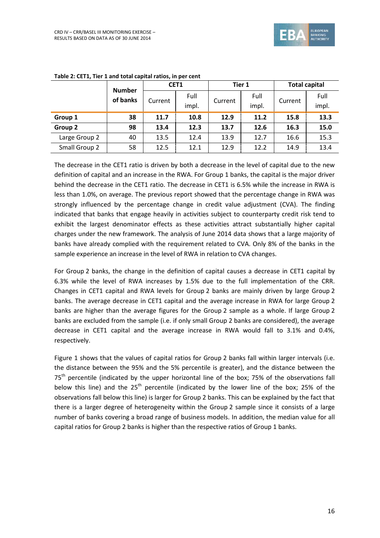![](_page_15_Picture_0.jpeg)

|               |                           |         | CET1          |         | Tier 1        | <b>Total capital</b> |               |  |
|---------------|---------------------------|---------|---------------|---------|---------------|----------------------|---------------|--|
|               | <b>Number</b><br>of banks | Current | Full<br>impl. | Current | Full<br>impl. | Current              | Full<br>impl. |  |
| Group 1       | 38                        | 11.7    | 10.8          | 12.9    | 11.2          | 15.8                 | 13.3          |  |
| Group 2       | 98                        | 13.4    | 12.3          | 13.7    | 12.6          | 16.3                 | 15.0          |  |
| Large Group 2 | 40                        | 13.5    | 12.4          | 13.9    | 12.7          | 16.6                 | 15.3          |  |
| Small Group 2 | 58                        | 12.5    | 12.1          | 12.9    | 12.2          | 14.9                 | 13.4          |  |

<span id="page-15-0"></span>**Table 2: CET1, Tier 1 and total capital ratios, in per cent**

The decrease in the CET1 ratio is driven by both a decrease in the level of capital due to the new definition of capital and an increase in the RWA. For Group 1 banks, the capital is the major driver behind the decrease in the CET1 ratio. The decrease in CET1 is 6.5% while the increase in RWA is less than 1.0%, on average. The previous report showed that the percentage change in RWA was strongly influenced by the percentage change in credit value adjustment (CVA). The finding indicated that banks that engage heavily in activities subject to counterparty credit risk tend to exhibit the largest denominator effects as these activities attract substantially higher capital charges under the new framework. The analysis of June 2014 data shows that a large majority of banks have already complied with the requirement related to CVA. Only 8% of the banks in the sample experience an increase in the level of RWA in relation to CVA changes.

For Group 2 banks, the change in the definition of capital causes a decrease in CET1 capital by 6.3% while the level of RWA increases by 1.5% due to the full implementation of the CRR. Changes in CET1 capital and RWA levels for Group 2 banks are mainly driven by large Group 2 banks. The average decrease in CET1 capital and the average increase in RWA for large Group 2 banks are higher than the average figures for the Group 2 sample as a whole. If large Group 2 banks are excluded from the sample (i.e. if only small Group 2 banks are considered), the average decrease in CET1 capital and the average increase in RWA would fall to 3.1% and 0.4%, respectively.

[Figure 1](#page-16-0) shows that the values of capital ratios for Group 2 banks fall within larger intervals (i.e. the distance between the 95% and the 5% percentile is greater), and the distance between the  $75<sup>th</sup>$  percentile (indicated by the upper horizontal line of the box; 75% of the observations fall below this line) and the  $25<sup>th</sup>$  percentile (indicated by the lower line of the box; 25% of the observations fall below this line) is larger for Group 2 banks. This can be explained by the fact that there is a larger degree of heterogeneity within the Group 2 sample since it consists of a large number of banks covering a broad range of business models. In addition, the median value for all capital ratios for Group 2 banks is higher than the respective ratios of Group 1 banks.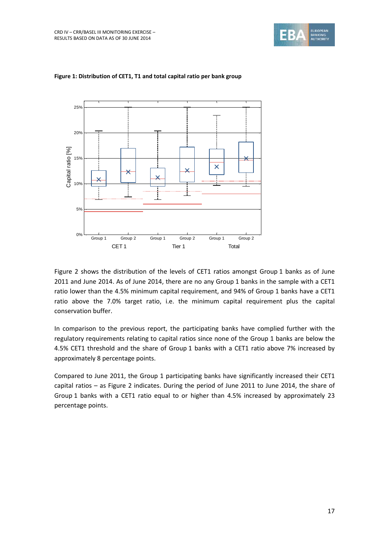![](_page_16_Picture_1.jpeg)

![](_page_16_Figure_2.jpeg)

#### <span id="page-16-0"></span>**Figure 1: Distribution of CET1, T1 and total capital ratio per bank group**

[Figure 2](#page-17-0) shows the distribution of the levels of CET1 ratios amongst Group 1 banks as of June 2011 and June 2014. As of June 2014, there are no any Group 1 banks in the sample with a CET1 ratio lower than the 4.5% minimum capital requirement, and 94% of Group 1 banks have a CET1 ratio above the 7.0% target ratio, i.e. the minimum capital requirement plus the capital conservation buffer.

In comparison to the previous report, the participating banks have complied further with the regulatory requirements relating to capital ratios since none of the Group 1 banks are below the 4.5% CET1 threshold and the share of Group 1 banks with a CET1 ratio above 7% increased by approximately 8 percentage points.

Compared to June 2011, the Group 1 participating banks have significantly increased their CET1 capital ratios – as [Figure 2](#page-17-0) indicates. During the period of June 2011 to June 2014, the share of Group 1 banks with a CET1 ratio equal to or higher than 4.5% increased by approximately 23 percentage points.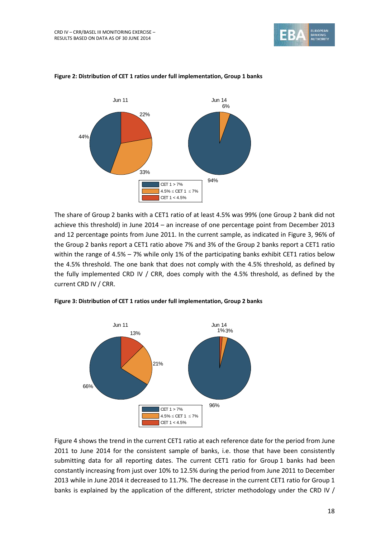![](_page_17_Picture_1.jpeg)

![](_page_17_Figure_2.jpeg)

#### <span id="page-17-0"></span>**Figure 2: Distribution of CET 1 ratios under full implementation, Group 1 banks**

The share of Group 2 banks with a CET1 ratio of at least 4.5% was 99% (one Group 2 bank did not achieve this threshold) in June 2014 – an increase of one percentage point from December 2013 and 12 percentage points from June 2011. In the current sample, as indicated in [Figure 3,](#page-17-1) 96% of the Group 2 banks report a CET1 ratio above 7% and 3% of the Group 2 banks report a CET1 ratio within the range of 4.5% – 7% while only 1% of the participating banks exhibit CET1 ratios below the 4.5% threshold. The one bank that does not comply with the 4.5% threshold, as defined by the fully implemented CRD IV / CRR, does comply with the 4.5% threshold, as defined by the current CRD IV / CRR.

<span id="page-17-1"></span>![](_page_17_Figure_5.jpeg)

![](_page_17_Figure_6.jpeg)

[Figure 4](#page-18-0) shows the trend in the current CET1 ratio at each reference date for the period from June 2011 to June 2014 for the consistent sample of banks, i.e. those that have been consistently submitting data for all reporting dates. The current CET1 ratio for Group 1 banks had been constantly increasing from just over 10% to 12.5% during the period from June 2011 to December 2013 while in June 2014 it decreased to 11.7%. The decrease in the current CET1 ratio for Group 1 banks is explained by the application of the different, stricter methodology under the CRD IV /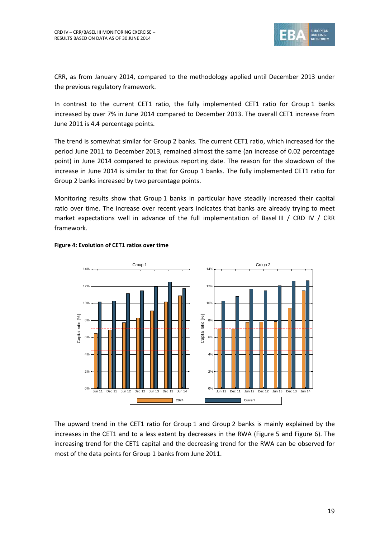![](_page_18_Picture_1.jpeg)

CRR, as from January 2014, compared to the methodology applied until December 2013 under the previous regulatory framework.

In contrast to the current CET1 ratio, the fully implemented CET1 ratio for Group 1 banks increased by over 7% in June 2014 compared to December 2013. The overall CET1 increase from June 2011 is 4.4 percentage points.

The trend is somewhat similar for Group 2 banks. The current CET1 ratio, which increased for the period June 2011 to December 2013, remained almost the same (an increase of 0.02 percentage point) in June 2014 compared to previous reporting date. The reason for the slowdown of the increase in June 2014 is similar to that for Group 1 banks. The fully implemented CET1 ratio for Group 2 banks increased by two percentage points.

Monitoring results show that Group 1 banks in particular have steadily increased their capital ratio over time. The increase over recent years indicates that banks are already trying to meet market expectations well in advance of the full implementation of Basel III / CRD IV / CRR framework.

![](_page_18_Figure_6.jpeg)

#### <span id="page-18-0"></span>**Figure 4: Evolution of CET1 ratios over time**

The upward trend in the CET1 ratio for Group 1 and Group 2 banks is mainly explained by the increases in the CET1 and to a less extent by decreases in the RWA [\(Figure 5](#page-19-0) and [Figure 6\)](#page-19-1). The increasing trend for the CET1 capital and the decreasing trend for the RWA can be observed for most of the data points for Group 1 banks from June 2011.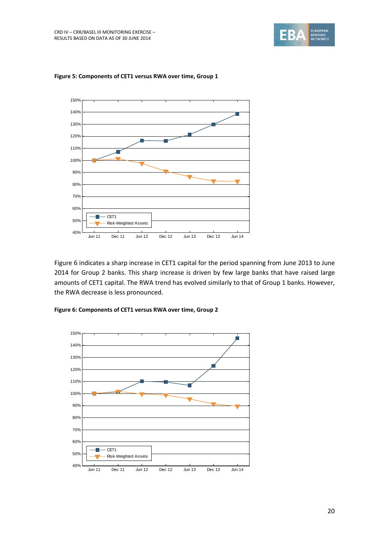![](_page_19_Picture_1.jpeg)

![](_page_19_Figure_2.jpeg)

#### <span id="page-19-0"></span>**Figure 5: Components of CET1 versus RWA over time, Group 1**

[Figure 6](#page-19-1) indicates a sharp increase in CET1 capital for the period spanning from June 2013 to June 2014 for Group 2 banks. This sharp increase is driven by few large banks that have raised large amounts of CET1 capital. The RWA trend has evolved similarly to that of Group 1 banks. However, the RWA decrease is less pronounced.

<span id="page-19-1"></span>![](_page_19_Figure_5.jpeg)

![](_page_19_Figure_6.jpeg)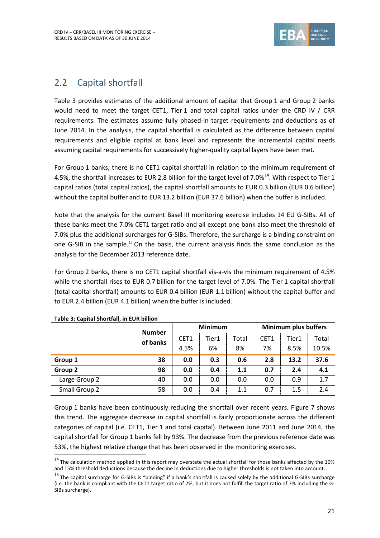![](_page_20_Picture_1.jpeg)

## <span id="page-20-0"></span>2.2 Capital shortfall

[Table 3](#page-20-1) provides estimates of the additional amount of capital that Group 1 and Group 2 banks would need to meet the target CET1, Tier 1 and total capital ratios under the CRD IV / CRR requirements. The estimates assume fully phased-in target requirements and deductions as of June 2014. In the analysis, the capital shortfall is calculated as the difference between capital requirements and eligible capital at bank level and represents the incremental capital needs assuming capital requirements for successively higher-quality capital layers have been met.

For Group 1 banks, there is no CET1 capital shortfall in relation to the minimum requirement of 4.5%, the shortfall increases to EUR 2.8 billion for the target level of 7.0%<sup>14</sup>. With respect to Tier 1 capital ratios (total capital ratios), the capital shortfall amounts to EUR 0.3 billion (EUR 0.6 billion) without the capital buffer and to EUR 13.2 billion (EUR 37.6 billion) when the buffer is included.

Note that the analysis for the current Basel III monitoring exercise includes 14 EU G-SIBs. All of these banks meet the 7.0% CET1 target ratio and all except one bank also meet the threshold of 7.0% plus the additional surcharges for G-SIBs. Therefore, the surcharge is a binding constraint on one G-SIB in the sample.<sup>15</sup> On the basis, the current analysis finds the same conclusion as the analysis for the December 2013 reference date.

For Group 2 banks, there is no CET1 capital shortfall vis-a-vis the minimum requirement of 4.5% while the shortfall rises to EUR 0.7 billion for the target level of 7.0%. The Tier 1 capital shortfall (total capital shortfall) amounts to EUR 0.4 billion (EUR 1.1 billion) without the capital buffer and to EUR 2.4 billion (EUR 4.1 billion) when the buffer is included.

|               | <b>Number</b> |      | <b>Minimum</b> |       |      | <b>Minimum plus buffers</b> |       |
|---------------|---------------|------|----------------|-------|------|-----------------------------|-------|
|               | of banks      | CET1 | Tier1          | Total | CET1 | Tier1                       | Total |
|               |               | 4.5% | 6%             | 8%    | 7%   | 8.5%                        | 10.5% |
| Group 1       | 38            | 0.0  | 0.3            | 0.6   | 2.8  | 13.2                        | 37.6  |
| Group 2       | 98            | 0.0  | 0.4            | 1.1   | 0.7  | 2.4                         | 4.1   |
| Large Group 2 | 40            | 0.0  | 0.0            | 0.0   | 0.0  | 0.9                         | 1.7   |
| Small Group 2 | 58            | 0.0  | 0.4            | 1.1   | 0.7  | 1.5                         | 2.4   |

#### <span id="page-20-1"></span>**Table 3: Capital Shortfall, in EUR billion**

1

Group 1 banks have been continuously reducing the shortfall over recent years. [Figure 7](#page-21-1) shows this trend. The aggregate decrease in capital shortfall is fairly proportionate across the different categories of capital (i.e. CET1, Tier 1 and total capital). Between June 2011 and June 2014, the capital shortfall for Group 1 banks fell by 93%. The decrease from the previous reference date was 53%, the highest relative change that has been observed in the monitoring exercises.

 $14$  The calculation method applied in this report may overstate the actual shortfall for those banks affected by the 10% and 15% threshold deductions because the decline in deductions due to higher thresholds is not taken into account.

 $15$  The capital surcharge for G-SIBs is "binding" if a bank's shortfall is caused solely by the additional G-SIBs surcharge (i.e. the bank is compliant with the CET1 target ratio of 7%, but it does not fulfill the target ratio of 7% including the G-SIBs surcharge).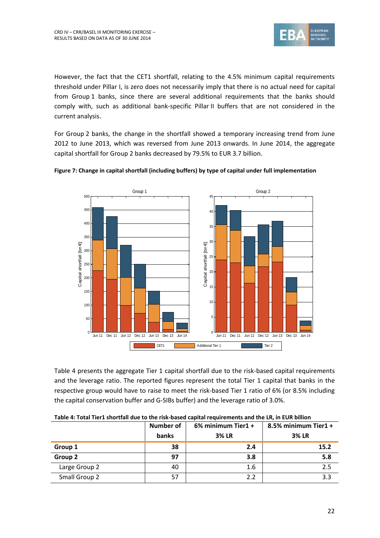![](_page_21_Picture_1.jpeg)

However, the fact that the CET1 shortfall, relating to the 4.5% minimum capital requirements threshold under Pillar I, is zero does not necessarily imply that there is no actual need for capital from Group 1 banks, since there are several additional requirements that the banks should comply with, such as additional bank-specific Pillar II buffers that are not considered in the current analysis.

For Group 2 banks, the change in the shortfall showed a temporary increasing trend from June 2012 to June 2013, which was reversed from June 2013 onwards. In June 2014, the aggregate capital shortfall for Group 2 banks decreased by 79.5% to EUR 3.7 billion.

![](_page_21_Figure_4.jpeg)

<span id="page-21-1"></span>![](_page_21_Figure_5.jpeg)

[Table 4](#page-21-0) presents the aggregate Tier 1 capital shortfall due to the risk-based capital requirements and the leverage ratio. The reported figures represent the total Tier 1 capital that banks in the respective group would have to raise to meet the risk-based Tier 1 ratio of 6% (or 8.5% including the capital conservation buffer and G-SIBs buffer) and the leverage ratio of 3.0%.

|               | <b>Number of</b><br>banks | 6% minimum Tier1 +<br><b>3% LR</b> | 8.5% minimum Tier1 +<br><b>3% LR</b> |  |  |
|---------------|---------------------------|------------------------------------|--------------------------------------|--|--|
| Group 1       | 38                        | 2.4                                | 15.2                                 |  |  |
| Group 2       | 97                        | 3.8                                | 5.8                                  |  |  |
| Large Group 2 | 40                        | 1.6                                | 2.5                                  |  |  |
| Small Group 2 | 57                        | 2.2                                | 3.3                                  |  |  |

<span id="page-21-0"></span>**Table 4: Total Tier1 shortfall due to the risk-based capital requirements and the LR, in EUR billion**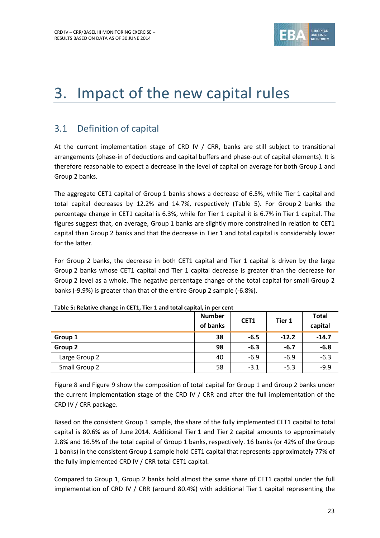![](_page_22_Picture_1.jpeg)

# <span id="page-22-0"></span>3. Impact of the new capital rules

## <span id="page-22-1"></span>3.1 Definition of capital

At the current implementation stage of CRD IV / CRR, banks are still subject to transitional arrangements (phase-in of deductions and capital buffers and phase-out of capital elements). It is therefore reasonable to expect a decrease in the level of capital on average for both Group 1 and Group 2 banks.

The aggregate CET1 capital of Group 1 banks shows a decrease of 6.5%, while Tier 1 capital and total capital decreases by 12.2% and 14.7%, respectively [\(Table 5\)](#page-22-2). For Group 2 banks the percentage change in CET1 capital is 6.3%, while for Tier 1 capital it is 6.7% in Tier 1 capital. The figures suggest that, on average, Group 1 banks are slightly more constrained in relation to CET1 capital than Group 2 banks and that the decrease in Tier 1 and total capital is considerably lower for the latter.

For Group 2 banks, the decrease in both CET1 capital and Tier 1 capital is driven by the large Group 2 banks whose CET1 capital and Tier 1 capital decrease is greater than the decrease for Group 2 level as a whole. The negative percentage change of the total capital for small Group 2 banks (-9.9%) is greater than that of the entire Group 2 sample (-6.8%).

|               | <b>Number</b><br>of banks | CET1   | Tier 1  | <b>Total</b><br>capital |  |
|---------------|---------------------------|--------|---------|-------------------------|--|
| Group 1       | 38                        | $-6.5$ | $-12.2$ | $-14.7$                 |  |
| Group 2       | 98                        | $-6.3$ | $-6.7$  | $-6.8$                  |  |
| Large Group 2 | 40                        | $-6.9$ | $-6.9$  | $-6.3$                  |  |
| Small Group 2 | 58                        | $-3.1$ | $-5.3$  | $-9.9$                  |  |

#### <span id="page-22-2"></span>**Table 5: Relative change in CET1, Tier 1 and total capital, in per cent**

[Figure 8](#page-23-0) and [Figure 9](#page-23-1) show the composition of total capital for Group 1 and Group 2 banks under the current implementation stage of the CRD IV / CRR and after the full implementation of the CRD IV / CRR package.

Based on the consistent Group 1 sample, the share of the fully implemented CET1 capital to total capital is 80.6% as of June 2014. Additional Tier 1 and Tier 2 capital amounts to approximately 2.8% and 16.5% of the total capital of Group 1 banks, respectively. 16 banks (or 42% of the Group 1 banks) in the consistent Group 1 sample hold CET1 capital that represents approximately 77% of the fully implemented CRD IV / CRR total CET1 capital.

Compared to Group 1, Group 2 banks hold almost the same share of CET1 capital under the full implementation of CRD IV / CRR (around 80.4%) with additional Tier 1 capital representing the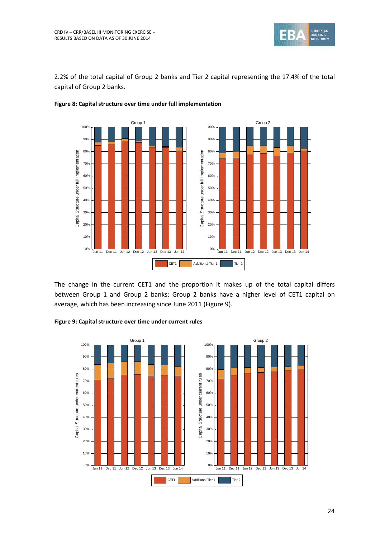![](_page_23_Picture_0.jpeg)

2.2% of the total capital of Group 2 banks and Tier 2 capital representing the 17.4% of the total capital of Group 2 banks.

![](_page_23_Figure_3.jpeg)

#### <span id="page-23-0"></span>**Figure 8: Capital structure over time under full implementation**

The change in the current CET1 and the proportion it makes up of the total capital differs between Group 1 and Group 2 banks; Group 2 banks have a higher level of CET1 capital on average, which has been increasing since June 2011 [\(Figure 9\)](#page-23-1).

<span id="page-23-1"></span>![](_page_23_Figure_6.jpeg)

![](_page_23_Figure_7.jpeg)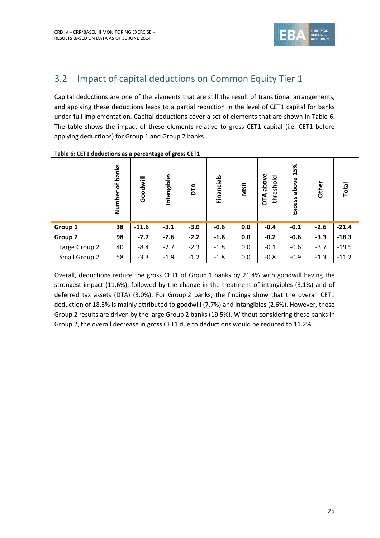![](_page_24_Picture_1.jpeg)

## <span id="page-24-0"></span>3.2 Impact of capital deductions on Common Equity Tier 1

Capital deductions are one of the elements that are still the result of transitional arrangements, and applying these deductions leads to a partial reduction in the level of CET1 capital for banks under full implementation. Capital deductions cover a set of elements that are shown in [Table 6.](#page-24-1) The table shows the impact of these elements relative to gross CET1 capital (i.e. CET1 before applying deductions) for Group 1 and Group 2 banks.

|               | banks<br>$\mathbf{b}$<br>Number | Goodwill | Intangibles | DТА    | Financials | <b>MSR</b> | above<br>threshold<br>DТА | 15%<br>above<br>Excess | Other  | Total   |
|---------------|---------------------------------|----------|-------------|--------|------------|------------|---------------------------|------------------------|--------|---------|
| Group 1       | 38                              | $-11.6$  | $-3.1$      | $-3.0$ | $-0.6$     | 0.0        | $-0.4$                    | $-0.1$                 | $-2.6$ | $-21.4$ |
| Group 2       | 98                              | $-7.7$   | $-2.6$      | $-2.2$ | $-1.8$     | 0.0        | $-0.2$                    | $-0.6$                 | $-3.3$ | $-18.3$ |
| Large Group 2 | 40                              | $-8.4$   | $-2.7$      | $-2.3$ | $-1.8$     | 0.0        | $-0.1$                    | $-0.6$                 | $-3.7$ | $-19.5$ |
| Small Group 2 | 58                              | $-3.3$   | $-1.9$      | $-1.2$ | $-1.8$     | 0.0        | $-0.8$                    | $-0.9$                 | $-1.3$ | $-11.2$ |

#### <span id="page-24-1"></span>**Table 6: CET1 deductions as a percentage of gross CET1**

Overall, deductions reduce the gross CET1 of Group 1 banks by 21.4% with goodwill having the strongest impact (11.6%), followed by the change in the treatment of intangibles (3.1%) and of deferred tax assets (DTA) (3.0%). For Group 2 banks, the findings show that the overall CET1 deduction of 18.3% is mainly attributed to goodwill (7.7%) and intangibles (2.6%). However, these Group 2 results are driven by the large Group 2 banks (19.5%). Without considering these banks in Group 2, the overall decrease in gross CET1 due to deductions would be reduced to 11.2%.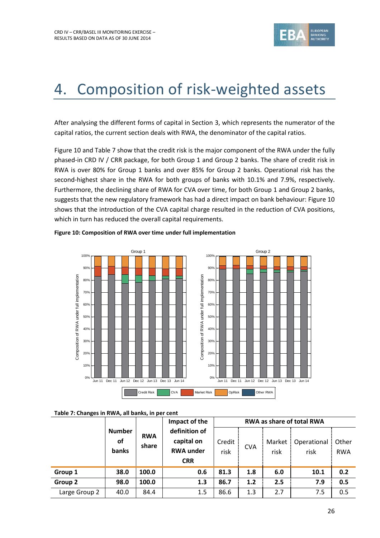![](_page_25_Picture_1.jpeg)

# <span id="page-25-0"></span>4. Composition of risk-weighted assets

After analysing the different forms of capital in Section [3,](#page-22-0) which represents the numerator of the capital ratios, the current section deals with RWA, the denominator of the capital ratios.

[Figure 10](#page-25-2) an[d Table 7](#page-25-1) show that the credit risk is the major component of the RWA under the fully phased-in CRD IV / CRR package, for both Group 1 and Group 2 banks. The share of credit risk in RWA is over 80% for Group 1 banks and over 85% for Group 2 banks. Operational risk has the second-highest share in the RWA for both groups of banks with 10.1% and 7.9%, respectively. Furthermore, the declining share of RWA for CVA over time, for both Group 1 and Group 2 banks, suggests that the new regulatory framework has had a direct impact on bank behaviour: Figure 10 shows that the introduction of the CVA capital charge resulted in the reduction of CVA positions, which in turn has reduced the overall capital requirements.

![](_page_25_Figure_5.jpeg)

#### <span id="page-25-2"></span>**Figure 10: Composition of RWA over time under full implementation**

#### <span id="page-25-1"></span>**Table 7: Changes in RWA, all banks, in per cent**

|               |                                     |                     | Impact of the                                                 |                |            | <b>RWA as share of total RWA</b> |                     |                     |  |
|---------------|-------------------------------------|---------------------|---------------------------------------------------------------|----------------|------------|----------------------------------|---------------------|---------------------|--|
|               | <b>Number</b><br><b>of</b><br>banks | <b>RWA</b><br>share | definition of<br>capital on<br><b>RWA under</b><br><b>CRR</b> | Credit<br>risk | <b>CVA</b> | Market<br>risk                   | Operational<br>risk | Other<br><b>RWA</b> |  |
| Group 1       | 38.0                                | 100.0               | 0.6                                                           | 81.3           | 1.8        | 6.0                              | 10.1                | 0.2                 |  |
| Group 2       | 98.0                                | 100.0               | 1.3                                                           | 86.7           | 1.2        | 2.5                              | 7.9                 | 0.5                 |  |
| Large Group 2 | 40.0                                | 84.4                | 1.5                                                           | 86.6           | 1.3        | 2.7                              | 7.5                 | 0.5                 |  |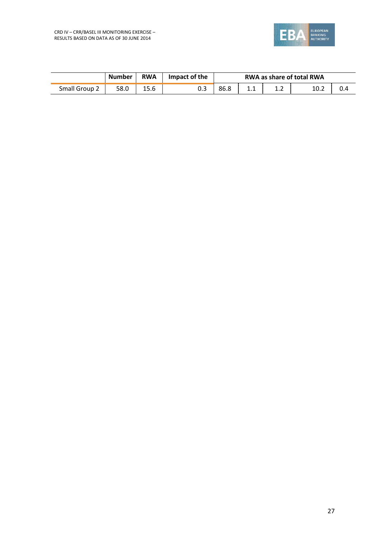![](_page_26_Picture_0.jpeg)

|               | <b>Number</b> | <b>RWA</b> | Impact of the | <b>RWA as share of total RWA</b> |              |     |      |  |
|---------------|---------------|------------|---------------|----------------------------------|--------------|-----|------|--|
| Small Group 2 | 58.0          | 15.6       | U.S           | 86.8                             | , <u>, ,</u> | ∸∙∸ | 10.2 |  |
|               |               |            |               |                                  |              |     |      |  |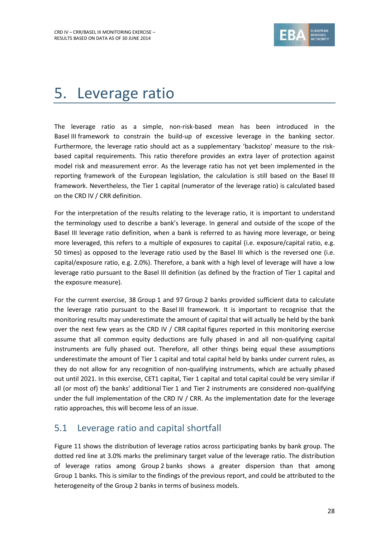![](_page_27_Picture_1.jpeg)

## <span id="page-27-0"></span>5. Leverage ratio

The leverage ratio as a simple, non-risk-based mean has been introduced in the Basel III framework to constrain the build-up of excessive leverage in the banking sector. Furthermore, the leverage ratio should act as a supplementary 'backstop' measure to the riskbased capital requirements. This ratio therefore provides an extra layer of protection against model risk and measurement error. As the leverage ratio has not yet been implemented in the reporting framework of the European legislation, the calculation is still based on the Basel III framework. Nevertheless, the Tier 1 capital (numerator of the leverage ratio) is calculated based on the CRD IV / CRR definition.

For the interpretation of the results relating to the leverage ratio, it is important to understand the terminology used to describe a bank's leverage. In general and outside of the scope of the Basel III leverage ratio definition, when a bank is referred to as having more leverage, or being more leveraged, this refers to a multiple of exposures to capital (i.e. exposure/capital ratio, e.g. 50 times) as opposed to the leverage ratio used by the Basel III which is the reversed one (i.e. capital/exposure ratio, e.g. 2.0%). Therefore, a bank with a high level of leverage will have a low leverage ratio pursuant to the Basel III definition (as defined by the fraction of Tier 1 capital and the exposure measure).

For the current exercise, 38 Group 1 and 97 Group 2 banks provided sufficient data to calculate the leverage ratio pursuant to the Basel III framework. It is important to recognise that the monitoring results may underestimate the amount of capital that will actually be held by the bank over the next few years as the CRD IV / CRR capital figures reported in this monitoring exercise assume that all common equity deductions are fully phased in and all non-qualifying capital instruments are fully phased out. Therefore, all other things being equal these assumptions underestimate the amount of Tier 1 capital and total capital held by banks under current rules, as they do not allow for any recognition of non-qualifying instruments, which are actually phased out until 2021. In this exercise, CET1 capital, Tier 1 capital and total capital could be very similar if all (or most of) the banks' additional Tier 1 and Tier 2 instruments are considered non-qualifying under the full implementation of the CRD IV / CRR. As the implementation date for the leverage ratio approaches, this will become less of an issue.

## <span id="page-27-1"></span>5.1 Leverage ratio and capital shortfall

[Figure 11](#page-28-1) shows the distribution of leverage ratios across participating banks by bank group. The dotted red line at 3.0% marks the preliminary target value of the leverage ratio. The distribution of leverage ratios among Group 2 banks shows a greater dispersion than that among Group 1 banks. This is similar to the findings of the previous report, and could be attributed to the heterogeneity of the Group 2 banks in terms of business models.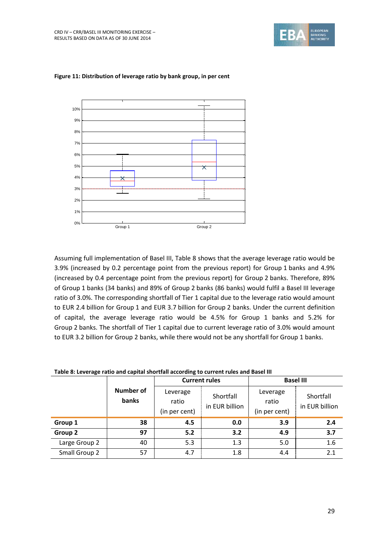![](_page_28_Picture_1.jpeg)

![](_page_28_Figure_2.jpeg)

#### <span id="page-28-1"></span>**Figure 11: Distribution of leverage ratio by bank group, in per cent**

Assuming full implementation of Basel III, [Table 8](#page-28-0) shows that the average leverage ratio would be 3.9% (increased by 0.2 percentage point from the previous report) for Group 1 banks and 4.9% (increased by 0.4 percentage point from the previous report) for Group 2 banks. Therefore, 89% of Group 1 banks (34 banks) and 89% of Group 2 banks (86 banks) would fulfil a Basel III leverage ratio of 3.0%. The corresponding shortfall of Tier 1 capital due to the leverage ratio would amount to EUR 2.4 billion for Group 1 and EUR 3.7 billion for Group 2 banks. Under the current definition of capital, the average leverage ratio would be 4.5% for Group 1 banks and 5.2% for Group 2 banks. The shortfall of Tier 1 capital due to current leverage ratio of 3.0% would amount to EUR 3.2 billion for Group 2 banks, while there would not be any shortfall for Group 1 banks.

| Table of Levelage Tatio and capital shortrail according to current rules and baser in |                    |                                    |                             |                                    |                             |  |  |  |
|---------------------------------------------------------------------------------------|--------------------|------------------------------------|-----------------------------|------------------------------------|-----------------------------|--|--|--|
|                                                                                       |                    |                                    | <b>Current rules</b>        | <b>Basel III</b>                   |                             |  |  |  |
|                                                                                       | Number of<br>banks | Leverage<br>ratio<br>(in per cent) | Shortfall<br>in EUR billion | Leverage<br>ratio<br>(in per cent) | Shortfall<br>in EUR billion |  |  |  |
| Group 1                                                                               | 38                 | 4.5                                | 0.0                         | 3.9                                | 2.4                         |  |  |  |
| Group 2                                                                               | 97                 | 5.2                                | 3.2                         | 4.9                                | 3.7                         |  |  |  |
| Large Group 2                                                                         | 40                 | 5.3                                | 1.3                         | 5.0                                | 1.6                         |  |  |  |
| Small Group 2                                                                         | 57                 | 4.7                                | 1.8                         | 4.4                                | 2.1                         |  |  |  |

<span id="page-28-0"></span>

| Table 8: Leverage ratio and capital shortfall according to current rules and Basel III |  |  |  |
|----------------------------------------------------------------------------------------|--|--|--|
|----------------------------------------------------------------------------------------|--|--|--|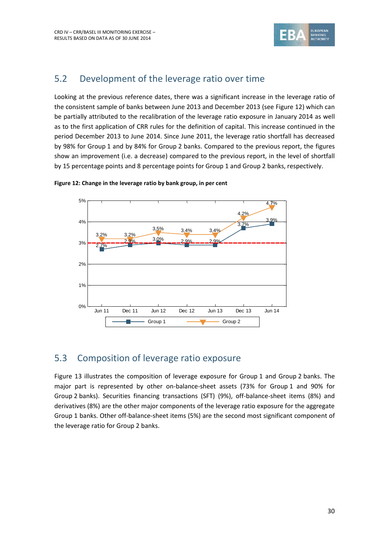![](_page_29_Picture_1.jpeg)

## <span id="page-29-0"></span>5.2 Development of the leverage ratio over time

Looking at the previous reference dates, there was a significant increase in the leverage ratio of the consistent sample of banks between June 2013 and December 2013 (se[e Figure 12\)](#page-29-2) which can be partially attributed to the recalibration of the leverage ratio exposure in January 2014 as well as to the first application of CRR rules for the definition of capital. This increase continued in the period December 2013 to June 2014. Since June 2011, the leverage ratio shortfall has decreased by 98% for Group 1 and by 84% for Group 2 banks. Compared to the previous report, the figures show an improvement (i.e. a decrease) compared to the previous report, in the level of shortfall by 15 percentage points and 8 percentage points for Group 1 and Group 2 banks, respectively.

![](_page_29_Figure_4.jpeg)

<span id="page-29-2"></span>![](_page_29_Figure_5.jpeg)

## <span id="page-29-1"></span>5.3 Composition of leverage ratio exposure

[Figure 13](#page-30-2) illustrates the composition of leverage exposure for Group 1 and Group 2 banks. The major part is represented by other on-balance-sheet assets (73% for Group 1 and 90% for Group 2 banks). Securities financing transactions (SFT) (9%), off-balance-sheet items (8%) and derivatives (8%) are the other major components of the leverage ratio exposure for the aggregate Group 1 banks. Other off-balance-sheet items (5%) are the second most significant component of the leverage ratio for Group 2 banks.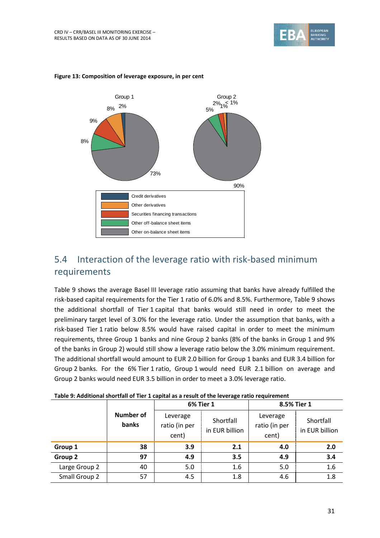![](_page_30_Picture_1.jpeg)

![](_page_30_Figure_2.jpeg)

#### <span id="page-30-2"></span>**Figure 13: Composition of leverage exposure, in per cent**

## <span id="page-30-0"></span>5.4 Interaction of the leverage ratio with risk-based minimum requirements

[Table 9](#page-30-1) shows the average Basel III leverage ratio assuming that banks have already fulfilled the risk-based capital requirements for the Tier 1 ratio of 6.0% and 8.5%. Furthermore, [Table 9](#page-30-1) shows the additional shortfall of Tier 1 capital that banks would still need in order to meet the preliminary target level of 3.0% for the leverage ratio. Under the assumption that banks, with a risk-based Tier 1 ratio below 8.5% would have raised capital in order to meet the minimum requirements, three Group 1 banks and nine Group 2 banks (8% of the banks in Group 1 and 9% of the banks in Group 2) would still show a leverage ratio below the 3.0% minimum requirement. The additional shortfall would amount to EUR 2.0 billion for Group 1 banks and EUR 3.4 billion for Group 2 banks. For the 6% Tier 1 ratio, Group 1 would need EUR 2.1 billion on average and Group 2 banks would need EUR 3.5 billion in order to meet a 3.0% leverage ratio.

|               |                           |                                    | <b>6% Tier 1</b>            | 8.5% Tier 1                        |                             |  |
|---------------|---------------------------|------------------------------------|-----------------------------|------------------------------------|-----------------------------|--|
|               | <b>Number of</b><br>banks | Leverage<br>ratio (in per<br>cent) | Shortfall<br>in EUR billion | Leverage<br>ratio (in per<br>cent) | Shortfall<br>in EUR billion |  |
| Group 1       | 38                        | 3.9                                | 2.1                         | 4.0                                | 2.0                         |  |
| Group 2       | 97                        | 4.9                                | 3.5                         | 4.9                                | 3.4                         |  |
| Large Group 2 | 40                        | 5.0                                | 1.6                         | 5.0                                | 1.6                         |  |
| Small Group 2 | 57                        | 4.5                                | 1.8                         | 4.6                                | 1.8                         |  |

<span id="page-30-1"></span>

| Table 9: Additional shortfall of Tier 1 capital as a result of the leverage ratio requirement |  |  |
|-----------------------------------------------------------------------------------------------|--|--|
|-----------------------------------------------------------------------------------------------|--|--|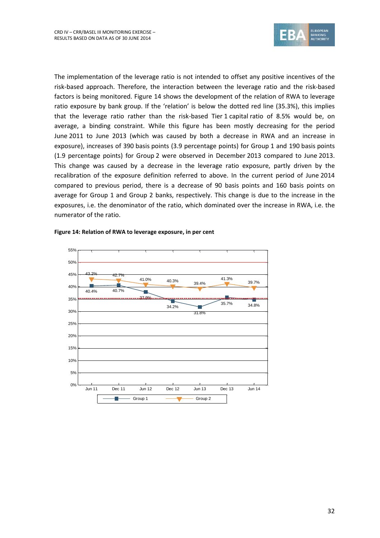![](_page_31_Picture_1.jpeg)

The implementation of the leverage ratio is not intended to offset any positive incentives of the risk-based approach. Therefore, the interaction between the leverage ratio and the risk-based factors is being monitored. [Figure 14](#page-31-0) shows the development of the relation of RWA to leverage ratio exposure by bank group. If the 'relation' is below the dotted red line (35.3%), this implies that the leverage ratio rather than the risk-based Tier 1 capital ratio of 8.5% would be, on average, a binding constraint. While this figure has been mostly decreasing for the period June 2011 to June 2013 (which was caused by both a decrease in RWA and an increase in exposure), increases of 390 basis points (3.9 percentage points) for Group 1 and 190 basis points (1.9 percentage points) for Group 2 were observed in December 2013 compared to June 2013. This change was caused by a decrease in the leverage ratio exposure, partly driven by the recalibration of the exposure definition referred to above. In the current period of June 2014 compared to previous period, there is a decrease of 90 basis points and 160 basis points on average for Group 1 and Group 2 banks, respectively. This change is due to the increase in the exposures, i.e. the denominator of the ratio, which dominated over the increase in RWA, i.e. the numerator of the ratio.

![](_page_31_Figure_3.jpeg)

#### <span id="page-31-0"></span>**Figure 14: Relation of RWA to leverage exposure, in per cent**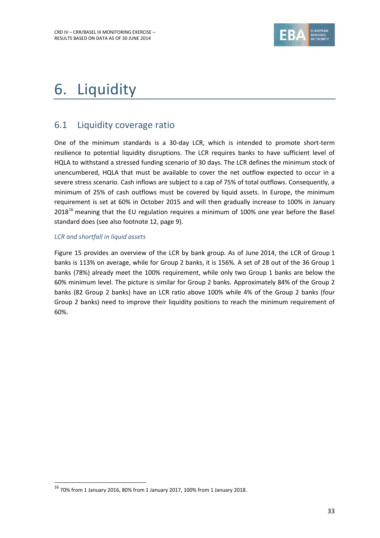![](_page_32_Picture_1.jpeg)

# <span id="page-32-0"></span>6. Liquidity

## <span id="page-32-1"></span>6.1 Liquidity coverage ratio

One of the minimum standards is a 30-day LCR, which is intended to promote short-term resilience to potential liquidity disruptions. The LCR requires banks to have sufficient level of HQLA to withstand a stressed funding scenario of 30 days. The LCR defines the minimum stock of unencumbered, HQLA that must be available to cover the net outflow expected to occur in a severe stress scenario. Cash inflows are subject to a cap of 75% of total outflows. Consequently, a minimum of 25% of cash outflows must be covered by liquid assets. In Europe, the minimum requirement is set at 60% in October 2015 and will then gradually increase to 100% in January 2018<sup>16</sup> meaning that the EU regulation requires a minimum of 100% one year before the Basel standard does (see also footnot[e 12,](#page-8-0) page [9\)](#page-8-1).

### *LCR and shortfall in liquid assets*

1

[Figure 15](#page-33-1) provides an overview of the LCR by bank group. As of June 2014, the LCR of Group 1 banks is 113% on average, while for Group 2 banks, it is 156%. A set of 28 out of the 36 Group 1 banks (78%) already meet the 100% requirement, while only two Group 1 banks are below the 60% minimum level. The picture is similar for Group 2 banks. Approximately 84% of the Group 2 banks (82 Group 2 banks) have an LCR ratio above 100% while 4% of the Group 2 banks (four Group 2 banks) need to improve their liquidity positions to reach the minimum requirement of 60%.

 $16$  70% from 1 January 2016, 80% from 1 January 2017, 100% from 1 January 2018.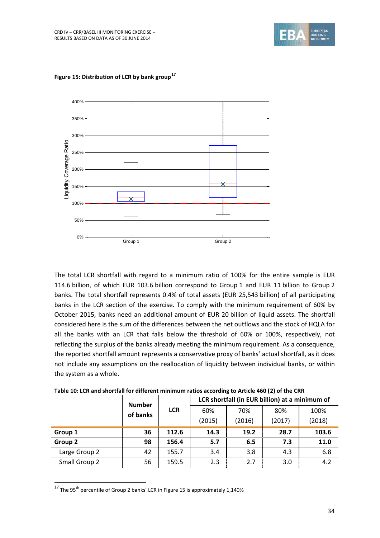![](_page_33_Picture_1.jpeg)

![](_page_33_Figure_2.jpeg)

<span id="page-33-1"></span>**Figure 15: Distribution of LCR by bank group**<sup>17</sup>

The total LCR shortfall with regard to a minimum ratio of 100% for the entire sample is EUR 114.6 billion, of which EUR 103.6 billion correspond to Group 1 and EUR 11 billion to Group 2 banks. The total shortfall represents 0.4% of total assets (EUR 25,543 billion) of all participating banks in the LCR section of the exercise. To comply with the minimum requirement of 60% by October 2015, banks need an additional amount of EUR 20 billion of liquid assets. The shortfall considered here is the sum of the differences between the net outflows and the stock of HQLA for all the banks with an LCR that falls below the threshold of 60% or 100%, respectively, not reflecting the surplus of the banks already meeting the minimum requirement. As a consequence, the reported shortfall amount represents a conservative proxy of banks' actual shortfall, as it does not include any assumptions on the reallocation of liquidity between individual banks, or within the system as a whole.

<span id="page-33-0"></span>

|               | <b>Number</b><br>of banks | <b>LCR</b> | LCR shortfall (in EUR billion) at a minimum of |        |        |        |  |
|---------------|---------------------------|------------|------------------------------------------------|--------|--------|--------|--|
|               |                           |            | 60%                                            | 70%    | 80%    | 100%   |  |
|               |                           |            | (2015)                                         | (2016) | (2017) | (2018) |  |
| Group 1       | 36                        | 112.6      | 14.3                                           | 19.2   | 28.7   | 103.6  |  |
| Group 2       | 98                        | 156.4      | 5.7                                            | 6.5    | 7.3    | 11.0   |  |
| Large Group 2 | 42                        | 155.7      | 3.4                                            | 3.8    | 4.3    | 6.8    |  |
| Small Group 2 | 56                        | 159.5      | 2.3                                            | 2.7    | 3.0    | 4.2    |  |

 $\overline{17}$  The 95<sup>th</sup> percentile of Group 2 banks' LCR i[n Figure 15](#page-33-1) is approximately 1,140%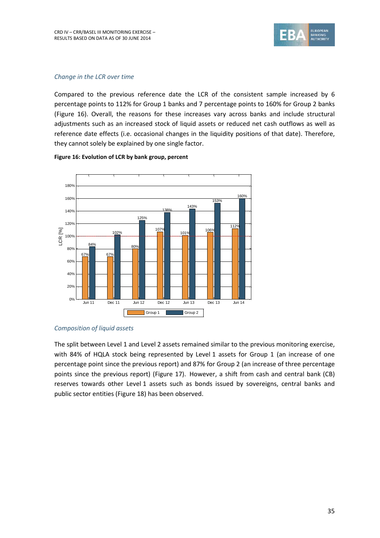![](_page_34_Picture_1.jpeg)

#### *Change in the LCR over time*

Compared to the previous reference date the LCR of the consistent sample increased by 6 percentage points to 112% for Group 1 banks and 7 percentage points to 160% for Group 2 banks [\(Figure 16\)](#page-34-0). Overall, the reasons for these increases vary across banks and include structural adjustments such as an increased stock of liquid assets or reduced net cash outflows as well as reference date effects (i.e. occasional changes in the liquidity positions of that date). Therefore, they cannot solely be explained by one single factor.

![](_page_34_Figure_4.jpeg)

#### <span id="page-34-0"></span>**Figure 16: Evolution of LCR by bank group, percent**

### *Composition of liquid assets*

The split between Level 1 and Level 2 assets remained similar to the previous monitoring exercise, with 84% of HQLA stock being represented by Level 1 assets for Group 1 (an increase of one percentage point since the previous report) and 87% for Group 2 (an increase of three percentage points since the previous report) [\(Figure 17\)](#page-35-1). However, a shift from cash and central bank (CB) reserves towards other Level 1 assets such as bonds issued by sovereigns, central banks and public sector entities [\(Figure 18\)](#page-37-0) has been observed.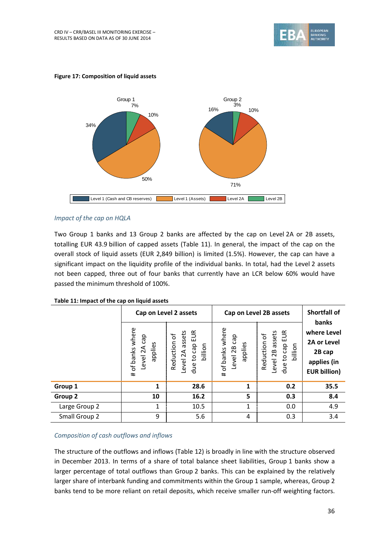![](_page_35_Picture_1.jpeg)

![](_page_35_Figure_2.jpeg)

#### <span id="page-35-1"></span>**Figure 17: Composition of liquid assets**

### *Impact of the cap on HQLA*

Two Group 1 banks and 13 Group 2 banks are affected by the cap on Level 2A or 2B assets, totalling EUR 43.9 billion of capped assets [\(Table 11\)](#page-35-0). In general, the impact of the cap on the overall stock of liquid assets (EUR 2,849 billion) is limited (1.5%). However, the cap can have a significant impact on the liquidity profile of the individual banks. In total, had the Level 2 assets not been capped, three out of four banks that currently have an LCR below 60% would have passed the minimum threshold of 100%.

|                    |                                                   | Cap on Level 2 assets                                              | Cap on Level 2B assets                         | <b>Shortfall of</b>                                             |                                                                                     |
|--------------------|---------------------------------------------------|--------------------------------------------------------------------|------------------------------------------------|-----------------------------------------------------------------|-------------------------------------------------------------------------------------|
|                    | of banks where<br>cap<br>applies<br>Level 2A<br># | EUR<br>assets<br>Reduction of<br>due to cap<br>billion<br>Level 2A | # of banks where<br>cap<br>applies<br>Level 2B | due to cap EUR<br>assets<br>Reduction of<br>billion<br>Level 2B | banks<br>where Level<br>2A or Level<br>2B cap<br>applies (in<br><b>EUR billion)</b> |
| Group 1            | 1                                                 | 28.6                                                               | 1                                              | 0.2                                                             | 35.5                                                                                |
| Group <sub>2</sub> | 10                                                | 16.2                                                               | 5                                              | 0.3                                                             | 8.4                                                                                 |
| Large Group 2      | 1                                                 | 10.5                                                               | 1                                              | 0.0                                                             | 4.9                                                                                 |
| Small Group 2      | 9                                                 | 5.6                                                                | $\overline{4}$                                 | 0.3                                                             | 3.4                                                                                 |

#### <span id="page-35-0"></span>**Table 11: Impact of the cap on liquid assets**

#### *Composition of cash outflows and inflows*

The structure of the outflows and inflows [\(Table 12\)](#page-36-0) is broadly in line with the structure observed in December 2013. In terms of a share of total balance sheet liabilities, Group 1 banks show a larger percentage of total outflows than Group 2 banks. This can be explained by the relatively larger share of interbank funding and commitments within the Group 1 sample, whereas, Group 2 banks tend to be more reliant on retail deposits, which receive smaller run-off weighting factors.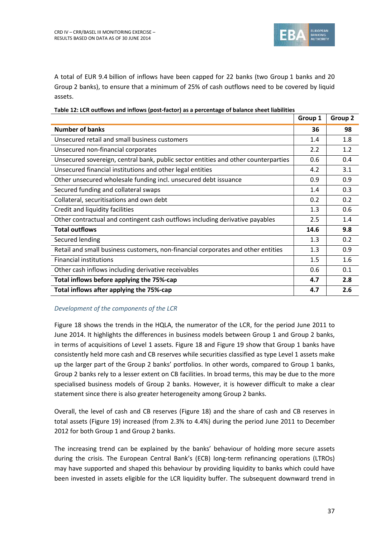![](_page_36_Picture_1.jpeg)

A total of EUR 9.4 billion of inflows have been capped for 22 banks (two Group 1 banks and 20 Group 2 banks), to ensure that a minimum of 25% of cash outflows need to be covered by liquid assets.

|                                                                                    | Group 1 | Group 2 |
|------------------------------------------------------------------------------------|---------|---------|
| <b>Number of banks</b>                                                             | 36      | 98      |
| Unsecured retail and small business customers                                      | 1.4     | 1.8     |
| Unsecured non-financial corporates                                                 | 2.2     | 1.2     |
| Unsecured sovereign, central bank, public sector entities and other counterparties | 0.6     | 0.4     |
| Unsecured financial institutions and other legal entities                          | 4.2     | 3.1     |
| Other unsecured wholesale funding incl. unsecured debt issuance                    | 0.9     | 0.9     |
| Secured funding and collateral swaps                                               | 1.4     | 0.3     |
| Collateral, securitisations and own debt                                           | 0.2     | 0.2     |
| Credit and liquidity facilities                                                    | 1.3     | 0.6     |
| Other contractual and contingent cash outflows including derivative payables       | 2.5     | 1.4     |
| <b>Total outflows</b>                                                              | 14.6    | 9.8     |
| Secured lending                                                                    | 1.3     | 0.2     |
| Retail and small business customers, non-financial corporates and other entities   | 1.3     | 0.9     |
| <b>Financial institutions</b>                                                      | 1.5     | 1.6     |
| Other cash inflows including derivative receivables                                | 0.6     | 0.1     |
| Total inflows before applying the 75%-cap                                          | 4.7     | 2.8     |
| Total inflows after applying the 75%-cap                                           | 4.7     | 2.6     |

#### <span id="page-36-0"></span>**Table 12: LCR outflows and inflows (post-factor) as a percentage of balance sheet liabilities**

#### *Development of the components of the LCR*

[Figure 18](#page-37-0) shows the trends in the HQLA, the numerator of the LCR, for the period June 2011 to June 2014. It highlights the differences in business models between Group 1 and Group 2 banks, in terms of acquisitions of Level 1 assets. [Figure 18](#page-37-0) and [Figure 19](#page-38-0) show that Group 1 banks have consistently held more cash and CB reserves while securities classified as type Level 1 assets make up the larger part of the Group 2 banks' portfolios. In other words, compared to Group 1 banks, Group 2 banks rely to a lesser extent on CB facilities. In broad terms, this may be due to the more specialised business models of Group 2 banks. However, it is however difficult to make a clear statement since there is also greater heterogeneity among Group 2 banks.

Overall, the level of cash and CB reserves [\(Figure 18\)](#page-37-0) and the share of cash and CB reserves in total assets [\(Figure 19\)](#page-38-0) increased (from 2.3% to 4.4%) during the period June 2011 to December 2012 for both Group 1 and Group 2 banks.

The increasing trend can be explained by the banks' behaviour of holding more secure assets during the crisis. The European Central Bank's (ECB) long-term refinancing operations (LTROs) may have supported and shaped this behaviour by providing liquidity to banks which could have been invested in assets eligible for the LCR liquidity buffer. The subsequent downward trend in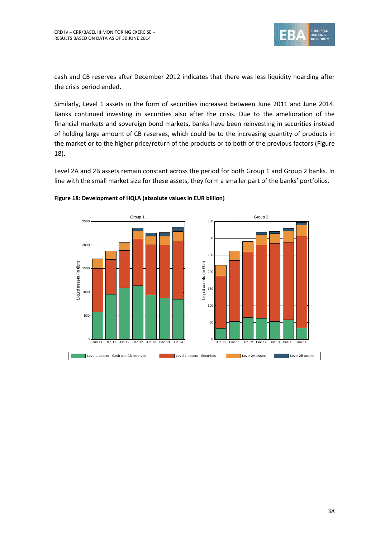![](_page_37_Picture_1.jpeg)

cash and CB reserves after December 2012 indicates that there was less liquidity hoarding after the crisis period ended.

Similarly, Level 1 assets in the form of securities increased between June 2011 and June 2014. Banks continued investing in securities also after the crisis. Due to the amelioration of the financial markets and sovereign bond markets, banks have been reinvesting in securities instead of holding large amount of CB reserves, which could be to the increasing quantity of products in the market or to the higher price/return of the products or to both of the previous factors [\(Figure](#page-37-0)  [18\)](#page-37-0).

Level 2A and 2B assets remain constant across the period for both Group 1 and Group 2 banks. In line with the small market size for these assets, they form a smaller part of the banks' portfolios.

![](_page_37_Figure_5.jpeg)

#### <span id="page-37-0"></span>**Figure 18: Development of HQLA (absolute values in EUR billion)**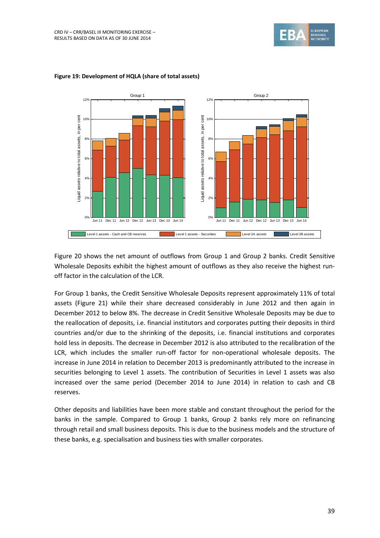![](_page_38_Picture_1.jpeg)

![](_page_38_Figure_2.jpeg)

#### <span id="page-38-0"></span>**Figure 19: Development of HQLA (share of total assets)**

[Figure 20](#page-39-0) shows the net amount of outflows from Group 1 and Group 2 banks. Credit Sensitive Wholesale Deposits exhibit the highest amount of outflows as they also receive the highest runoff factor in the calculation of the LCR.

For Group 1 banks, the Credit Sensitive Wholesale Deposits represent approximately 11% of total assets [\(Figure 21\)](#page-39-1) while their share decreased considerably in June 2012 and then again in December 2012 to below 8%. The decrease in Credit Sensitive Wholesale Deposits may be due to the reallocation of deposits, i.e. financial institutors and corporates putting their deposits in third countries and/or due to the shrinking of the deposits, i.e. financial institutions and corporates hold less in deposits. The decrease in December 2012 is also attributed to the recalibration of the LCR, which includes the smaller run-off factor for non-operational wholesale deposits. The increase in June 2014 in relation to December 2013 is predominantly attributed to the increase in securities belonging to Level 1 assets. The contribution of Securities in Level 1 assets was also increased over the same period (December 2014 to June 2014) in relation to cash and CB reserves.

Other deposits and liabilities have been more stable and constant throughout the period for the banks in the sample. Compared to Group 1 banks, Group 2 banks rely more on refinancing through retail and small business deposits. This is due to the business models and the structure of these banks, e.g. specialisation and business ties with smaller corporates.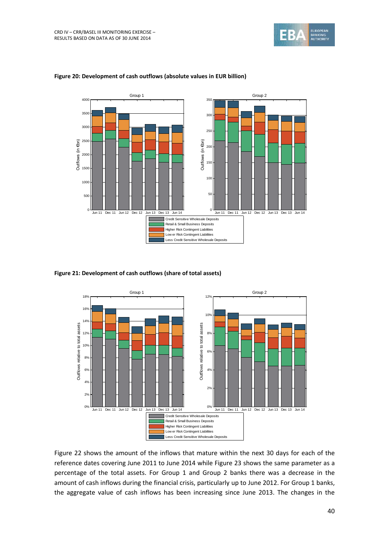![](_page_39_Picture_1.jpeg)

![](_page_39_Figure_2.jpeg)

#### <span id="page-39-0"></span>**Figure 20: Development of cash outflows (absolute values in EUR billion)**

<span id="page-39-1"></span>**Figure 21: Development of cash outflows (share of total assets)**

![](_page_39_Figure_5.jpeg)

[Figure 22](#page-40-0) shows the amount of the inflows that mature within the next 30 days for each of the reference dates covering June 2011 to June 2014 while [Figure 23](#page-40-1) shows the same parameter as a percentage of the total assets. For Group 1 and Group 2 banks there was a decrease in the amount of cash inflows during the financial crisis, particularly up to June 2012. For Group 1 banks, the aggregate value of cash inflows has been increasing since June 2013. The changes in the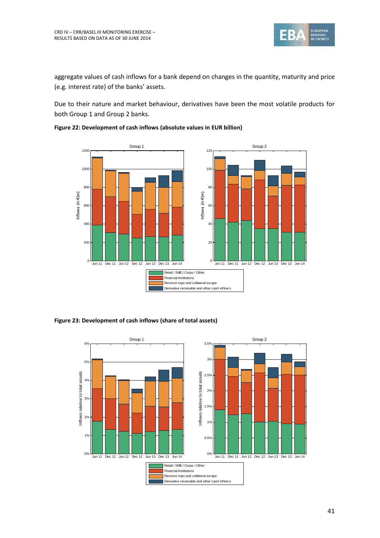![](_page_40_Picture_0.jpeg)

aggregate values of cash inflows for a bank depend on changes in the quantity, maturity and price (e.g. interest rate) of the banks' assets.

Due to their nature and market behaviour, derivatives have been the most volatile products for both Group 1 and Group 2 banks.

![](_page_40_Figure_4.jpeg)

<span id="page-40-0"></span>**Figure 22: Development of cash inflows (absolute values in EUR billion)**

<span id="page-40-1"></span>**Figure 23: Development of cash inflows (share of total assets)**

![](_page_40_Figure_7.jpeg)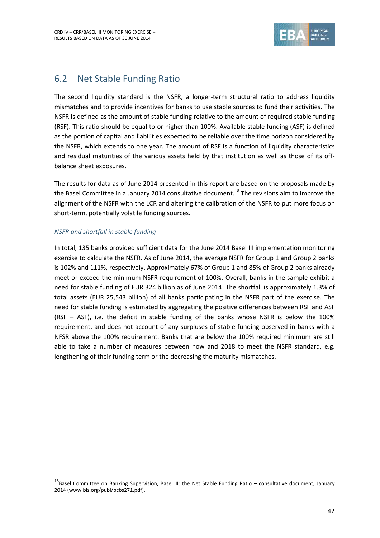![](_page_41_Picture_1.jpeg)

## <span id="page-41-0"></span>6.2 Net Stable Funding Ratio

The second liquidity standard is the NSFR, a longer-term structural ratio to address liquidity mismatches and to provide incentives for banks to use stable sources to fund their activities. The NSFR is defined as the amount of stable funding relative to the amount of required stable funding (RSF). This ratio should be equal to or higher than 100%. Available stable funding (ASF) is defined as the portion of capital and liabilities expected to be reliable over the time horizon considered by the NSFR, which extends to one year. The amount of RSF is a function of liquidity characteristics and residual maturities of the various assets held by that institution as well as those of its offbalance sheet exposures.

The results for data as of June 2014 presented in this report are based on the proposals made by the Basel Committee in a January 2014 consultative document.<sup>18</sup> The revisions aim to improve the alignment of the NSFR with the LCR and altering the calibration of the NSFR to put more focus on short-term, potentially volatile funding sources.

### *NSFR and shortfall in stable funding*

1

In total, 135 banks provided sufficient data for the June 2014 Basel III implementation monitoring exercise to calculate the NSFR. As of June 2014, the average NSFR for Group 1 and Group 2 banks is 102% and 111%, respectively. Approximately 67% of Group 1 and 85% of Group 2 banks already meet or exceed the minimum NSFR requirement of 100%. Overall, banks in the sample exhibit a need for stable funding of EUR 324 billion as of June 2014. The shortfall is approximately 1.3% of total assets (EUR 25,543 billion) of all banks participating in the NSFR part of the exercise. The need for stable funding is estimated by aggregating the positive differences between RSF and ASF (RSF – ASF), i.e. the deficit in stable funding of the banks whose NSFR is below the 100% requirement, and does not account of any surpluses of stable funding observed in banks with a NFSR above the 100% requirement. Banks that are below the 100% required minimum are still able to take a number of measures between now and 2018 to meet the NSFR standard, e.g. lengthening of their funding term or the decreasing the maturity mismatches.

 $18$ Basel Committee on Banking Supervision, Basel III: the Net Stable Funding Ratio – consultative document, January 2014 (www.bis.org/publ/bcbs271.pdf).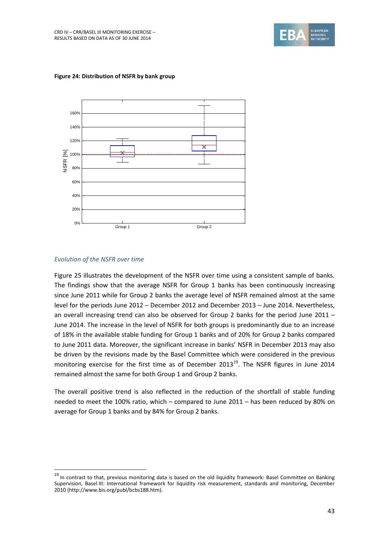![](_page_42_Picture_1.jpeg)

![](_page_42_Figure_2.jpeg)

**Figure 24: Distribution of NSFR by bank group**

### *Evolution of the NSFR over time*

1

[Figure 25](#page-43-0) illustrates the development of the NSFR over time using a consistent sample of banks. The findings show that the average NSFR for Group 1 banks has been continuously increasing since June 2011 while for Group 2 banks the average level of NSFR remained almost at the same level for the periods June 2012 – December 2012 and December 2013 – June 2014. Nevertheless, an overall increasing trend can also be observed for Group 2 banks for the period June 2011 – June 2014. The increase in the level of NSFR for both groups is predominantly due to an increase of 18% in the available stable funding for Group 1 banks and of 20% for Group 2 banks compared to June 2011 data. Moreover, the significant increase in banks' NSFR in December 2013 may also be driven by the revisions made by the Basel Committee which were considered in the previous monitoring exercise for the first time as of December 2013<sup>19</sup>. The NSFR figures in June 2014 remained almost the same for both Group 1 and Group 2 banks.

The overall positive trend is also reflected in the reduction of the shortfall of stable funding needed to meet the 100% ratio, which – compared to June 2011 – has been reduced by 80% on average for Group 1 banks and by 84% for Group 2 banks.

<sup>&</sup>lt;sup>19</sup> In contrast to that, previous monitoring data is based on the old liquidity framework: Basel Committee on Banking Supervision, Basel III: International framework for liquidity risk measurement, standards and monitoring, December 2010 (http://www.bis.org/publ/bcbs188.htm).